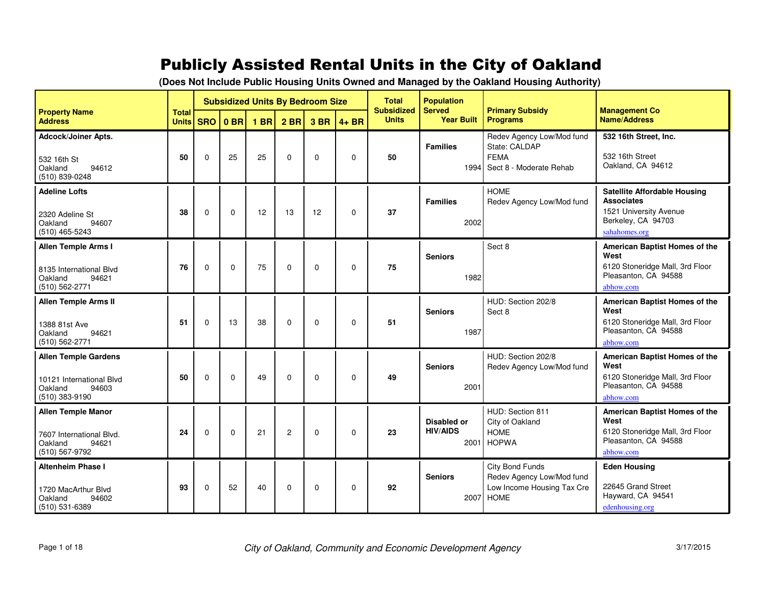## Publicly Assisted Rental Units in the City of Oakland

| (Does Not Include Public Housing Units Owned and Managed by the Oakland Housing Authority) |  |
|--------------------------------------------------------------------------------------------|--|
|                                                                                            |  |

|                                                                                               |              | <b>Subsidized Units By Bedroom Size</b><br><b>Total</b> |             |        |             |             |             | <b>Total</b>                      | <b>Population</b>                             |                                                                                           |                                                                                                                           |
|-----------------------------------------------------------------------------------------------|--------------|---------------------------------------------------------|-------------|--------|-------------|-------------|-------------|-----------------------------------|-----------------------------------------------|-------------------------------------------------------------------------------------------|---------------------------------------------------------------------------------------------------------------------------|
| <b>Property Name</b><br><b>Address</b>                                                        | <b>Units</b> |                                                         | $SRO$ 0 BR  | $1$ BR | $2$ BR      | 3 BR        | $4 + BR$    | <b>Subsidized</b><br><b>Units</b> | <b>Served</b><br><b>Year Built</b>            | <b>Primary Subsidy</b><br><b>Programs</b>                                                 | <b>Management Co</b><br><b>Name/Address</b>                                                                               |
| Adcock/Joiner Apts.<br>532 16th St<br>Oakland<br>94612<br>(510) 839-0248                      | 50           | $\Omega$                                                | 25          | 25     | $\Omega$    | $\Omega$    | $\mathbf 0$ | 50                                | <b>Families</b><br>1994                       | Redev Agency Low/Mod fund<br>State: CALDAP<br><b>FEMA</b><br>Sect 8 - Moderate Rehab      | 532 16th Street, Inc.<br>532 16th Street<br>Oakland, CA 94612                                                             |
| <b>Adeline Lofts</b><br>2320 Adeline St<br>Oakland<br>94607<br>$(510)$ 465-5243               | 38           | $\mathbf 0$                                             | $\Omega$    | 12     | 13          | 12          | $\mathbf 0$ | 37                                | <b>Families</b><br>2002                       | <b>HOME</b><br>Redev Agency Low/Mod fund                                                  | <b>Satellite Affordable Housing</b><br><b>Associates</b><br>1521 University Avenue<br>Berkeley, CA 94703<br>sahahomes.org |
| Allen Temple Arms I<br>8135 International Blvd<br>Oakland<br>94621<br>(510) 562-2771          | 76           | $\Omega$                                                | $\mathbf 0$ | 75     | $\mathbf 0$ | $\mathbf 0$ | $\mathbf 0$ | 75                                | <b>Seniors</b><br>1982                        | Sect 8                                                                                    | American Baptist Homes of the<br>West<br>6120 Stoneridge Mall, 3rd Floor<br>Pleasanton, CA 94588<br>abhow.com             |
| <b>Allen Temple Arms II</b><br>1388 81st Ave<br>94621<br>Oakland<br>(510) 562-2771            | 51           | $\Omega$                                                | 13          | 38     | $\Omega$    | $\Omega$    | $\Omega$    | 51                                | <b>Seniors</b><br>1987                        | HUD: Section 202/8<br>Sect 8                                                              | American Baptist Homes of the<br>West<br>6120 Stoneridge Mall, 3rd Floor<br>Pleasanton, CA 94588<br>abhow.com             |
| <b>Allen Temple Gardens</b><br>10121 International Blvd<br>Oakland<br>94603<br>(510) 383-9190 | 50           | $\Omega$                                                | $\Omega$    | 49     | $\Omega$    | $\mathbf 0$ | $\mathbf 0$ | 49                                | <b>Seniors</b><br>2001                        | HUD: Section 202/8<br>Redev Agency Low/Mod fund                                           | American Baptist Homes of the<br>West<br>6120 Stoneridge Mall, 3rd Floor<br>Pleasanton, CA 94588<br>abhow.com             |
| <b>Allen Temple Manor</b><br>7607 International Blvd.<br>Oakland<br>94621<br>(510) 567-9792   | 24           | $\Omega$                                                | $\Omega$    | 21     | 2           | $\mathbf 0$ | $\mathbf 0$ | 23                                | <b>Disabled or</b><br><b>HIV/AIDS</b><br>2001 | HUD: Section 811<br>City of Oakland<br><b>HOME</b><br><b>HOPWA</b>                        | American Baptist Homes of the<br>West<br>6120 Stoneridge Mall, 3rd Floor<br>Pleasanton, CA 94588<br>abhow.com             |
| <b>Altenheim Phase I</b><br>1720 MacArthur Blvd<br>94602<br>Oakland<br>(510) 531-6389         | 93           | $\mathbf 0$                                             | 52          | 40     | $\mathbf 0$ | $\mathbf 0$ | $\mathbf 0$ | 92                                | <b>Seniors</b><br>2007                        | City Bond Funds<br>Redev Agency Low/Mod fund<br>Low Income Housing Tax Cre<br><b>HOME</b> | <b>Eden Housing</b><br>22645 Grand Street<br>Hayward, CA 94541<br>edenhousing.org                                         |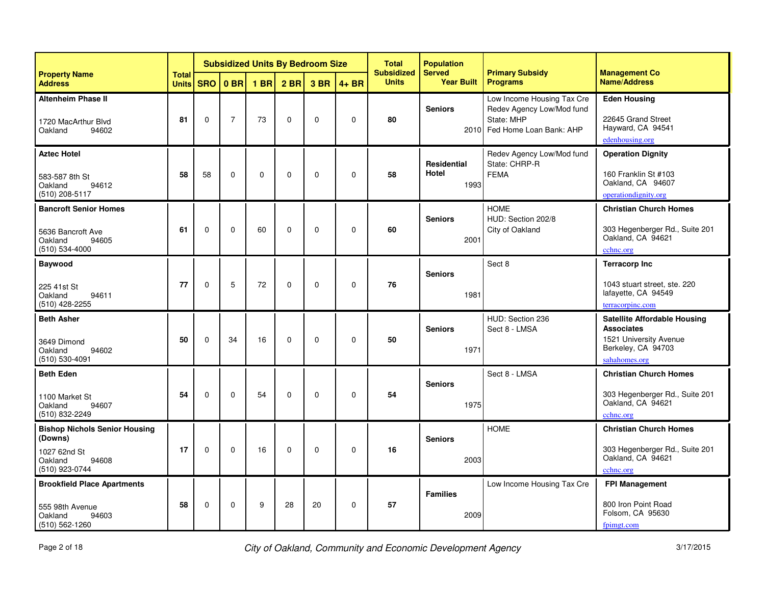|                                                                                                       |                              |              | <b>Subsidized Units By Bedroom Size</b> |                 |                 |              |             | <b>Total</b><br><b>Subsidized</b> | <b>Population</b><br><b>Served</b>  | <b>Primary Subsidy</b>                                                                                | <b>Management Co</b>                                                                                                      |
|-------------------------------------------------------------------------------------------------------|------------------------------|--------------|-----------------------------------------|-----------------|-----------------|--------------|-------------|-----------------------------------|-------------------------------------|-------------------------------------------------------------------------------------------------------|---------------------------------------------------------------------------------------------------------------------------|
| <b>Property Name</b><br><b>Address</b>                                                                | <b>Total</b><br><b>Units</b> | <b>SRO</b>   | 0 <sub>BR</sub>                         | 1 <sub>BR</sub> | 2 <sub>BR</sub> | 3 BR         | $4 + BR$    | <b>Units</b>                      | <b>Year Built</b>                   | <b>Programs</b>                                                                                       | <b>Name/Address</b>                                                                                                       |
| <b>Altenheim Phase II</b><br>1720 MacArthur Blvd<br>94602<br>Oakland                                  | 81                           | $\mathbf{0}$ | $\overline{7}$                          | 73              | $\mathbf 0$     | $\mathbf{0}$ | $\mathbf 0$ | 80                                | <b>Seniors</b>                      | Low Income Housing Tax Cre<br>Redev Agency Low/Mod fund<br>State: MHP<br>2010 Fed Home Loan Bank: AHP | <b>Eden Housing</b><br>22645 Grand Street<br>Hayward, CA 94541<br>edenhousing.org                                         |
| <b>Aztec Hotel</b><br>583-587 8th St<br>Oakland<br>94612<br>$(510)$ 208-5117                          | 58                           | 58           | $\Omega$                                | $\mathbf 0$     | $\Omega$        | $\Omega$     | $\mathbf 0$ | 58                                | <b>Residential</b><br>Hotel<br>1993 | Redev Agency Low/Mod fund<br>State: CHRP-R<br><b>FEMA</b>                                             | <b>Operation Dignity</b><br>160 Franklin St #103<br>Oakland, CA 94607<br>operationdignity.org                             |
| <b>Bancroft Senior Homes</b><br>5636 Bancroft Ave<br>Oakland<br>94605<br>$(510) 534 - 4000$           | 61                           | $\Omega$     | $\Omega$                                | 60              | $\mathbf 0$     | $\mathbf 0$  | $\Omega$    | 60                                | <b>Seniors</b><br>2001              | <b>HOME</b><br>HUD: Section 202/8<br>City of Oakland                                                  | <b>Christian Church Homes</b><br>303 Hegenberger Rd., Suite 201<br>Oakland, CA 94621<br>cchnc.org                         |
| Baywood<br>225 41st St<br>Oakland<br>94611<br>(510) 428-2255                                          | 77                           | $\Omega$     | 5                                       | 72              | $\mathbf 0$     | $\mathbf 0$  | $\Omega$    | 76                                | <b>Seniors</b><br>1981              | Sect 8                                                                                                | <b>Terracorp Inc</b><br>1043 stuart street, ste. 220<br>lafayette, CA 94549<br>terracorpinc.com                           |
| <b>Beth Asher</b><br>3649 Dimond<br>Oakland<br>94602<br>$(510) 530 - 4091$                            | 50                           | $\mathbf 0$  | 34                                      | 16              | $\mathbf 0$     | $\mathbf 0$  | $\mathbf 0$ | 50                                | <b>Seniors</b><br>1971              | HUD: Section 236<br>Sect 8 - LMSA                                                                     | <b>Satellite Affordable Housing</b><br><b>Associates</b><br>1521 University Avenue<br>Berkeley, CA 94703<br>sahahomes.org |
| <b>Beth Eden</b><br>1100 Market St<br>Oakland<br>94607<br>(510) 832-2249                              | 54                           | $\Omega$     | $\Omega$                                | 54              | $\Omega$        | $\mathbf 0$  | $\Omega$    | 54                                | <b>Seniors</b><br>1975              | Sect 8 - LMSA                                                                                         | <b>Christian Church Homes</b><br>303 Hegenberger Rd., Suite 201<br>Oakland, CA 94621<br>cchnc.org                         |
| <b>Bishop Nichols Senior Housing</b><br>(Downs)<br>1027 62nd St<br>Oakland<br>94608<br>(510) 923-0744 | 17                           | $\mathbf{0}$ | $\Omega$                                | 16              | $\Omega$        | $\mathbf{0}$ | $\mathbf 0$ | 16                                | <b>Seniors</b><br>2003              | <b>HOMF</b>                                                                                           | <b>Christian Church Homes</b><br>303 Hegenberger Rd., Suite 201<br>Oakland, CA 94621<br>cchnc.org                         |
| <b>Brookfield Place Apartments</b><br>555 98th Avenue<br>Oakland<br>94603<br>$(510) 562 - 1260$       | 58                           | $\mathbf 0$  | $\mathbf 0$                             | 9               | 28              | 20           | $\mathbf 0$ | 57                                | <b>Families</b><br>2009             | Low Income Housing Tax Cre                                                                            | <b>FPI Management</b><br>800 Iron Point Road<br>Folsom, CA 95630<br>fpimgt.com                                            |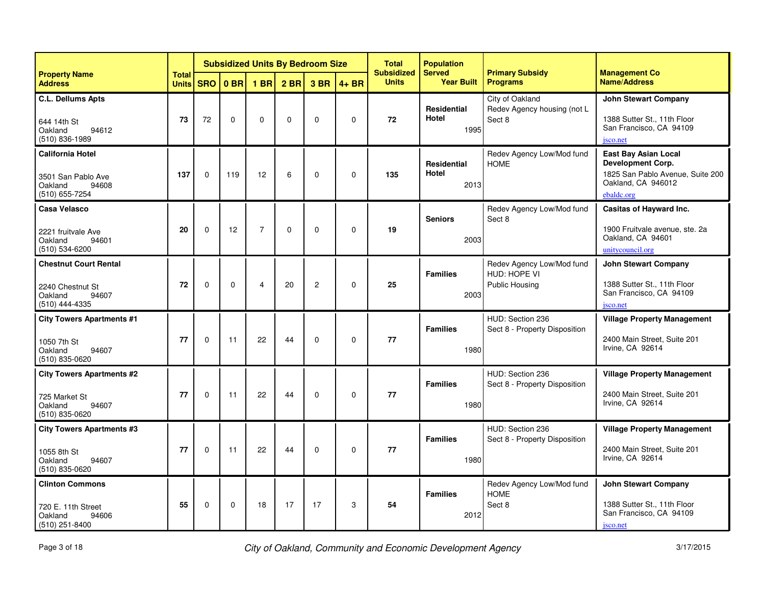|                                                                                           |                              | <b>Subsidized Units By Bedroom Size</b> |                 |                 |                 |                |             | <b>Total</b><br><b>Subsidized</b> | <b>Population</b><br><b>Served</b>  | <b>Primary Subsidy</b>                                             | <b>Management Co</b>                                                                                                            |
|-------------------------------------------------------------------------------------------|------------------------------|-----------------------------------------|-----------------|-----------------|-----------------|----------------|-------------|-----------------------------------|-------------------------------------|--------------------------------------------------------------------|---------------------------------------------------------------------------------------------------------------------------------|
| <b>Property Name</b><br><b>Address</b>                                                    | <b>Total</b><br><b>Units</b> | <b>SRO</b>                              | 0 <sub>BR</sub> | 1 <sub>BR</sub> | 2 <sub>BR</sub> | 3 BR           | $4 + BR$    | <b>Units</b>                      | <b>Year Built</b>                   | <b>Programs</b>                                                    | <b>Name/Address</b>                                                                                                             |
| <b>C.L. Dellums Apts</b><br>644 14th St<br>Oakland<br>94612<br>$(510)$ 836-1989           | 73                           | 72                                      | $\Omega$        | $\Omega$        | $\Omega$        | $\Omega$       | $\mathbf 0$ | 72                                | <b>Residential</b><br>Hotel<br>1995 | City of Oakland<br>Redev Agency housing (not L<br>Sect 8           | <b>John Stewart Company</b><br>1388 Sutter St., 11th Floor<br>San Francisco, CA 94109<br>jsco.net                               |
| <b>California Hotel</b><br>3501 San Pablo Ave<br>Oakland<br>94608<br>(510) 655-7254       | 137                          | $\Omega$                                | 119             | 12              | 6               | $\Omega$       | $\mathbf 0$ | 135                               | <b>Residential</b><br>Hotel<br>2013 | Redev Agency Low/Mod fund<br><b>HOME</b>                           | <b>East Bay Asian Local</b><br><b>Development Corp.</b><br>1825 San Pablo Avenue, Suite 200<br>Oakland, CA 946012<br>ebaldc.org |
| Casa Velasco<br>2221 fruitvale Ave<br>Oakland<br>94601<br>(510) 534-6200                  | 20                           | $\Omega$                                | 12              | $\overline{7}$  | $\Omega$        | $\Omega$       | $\Omega$    | 19                                | <b>Seniors</b><br>2003              | Redev Agency Low/Mod fund<br>Sect 8                                | Casitas of Hayward Inc.<br>1900 Fruitvale avenue, ste. 2a<br>Oakland, CA 94601<br>unitycouncil.org                              |
| <b>Chestnut Court Rental</b><br>2240 Chestnut St<br>Oakland<br>94607<br>(510) 444-4335    | 72                           | $\Omega$                                | $\Omega$        | 4               | 20              | $\overline{c}$ | $\mathbf 0$ | 25                                | <b>Families</b><br>2003             | Redev Agency Low/Mod fund<br>HUD: HOPE VI<br><b>Public Housing</b> | <b>John Stewart Company</b><br>1388 Sutter St., 11th Floor<br>San Francisco, CA 94109<br>jsco.net                               |
| <b>City Towers Apartments #1</b><br>1050 7th St<br>Oakland<br>94607<br>$(510) 835 - 0620$ | 77                           | $\mathbf 0$                             | 11              | 22              | 44              | $\Omega$       | $\mathbf 0$ | 77                                | <b>Families</b><br>1980             | HUD: Section 236<br>Sect 8 - Property Disposition                  | <b>Village Property Management</b><br>2400 Main Street, Suite 201<br>Irvine, CA 92614                                           |
| <b>City Towers Apartments #2</b><br>725 Market St<br>Oakland<br>94607<br>(510) 835-0620   | 77                           | $\Omega$                                | 11              | 22              | 44              | $\Omega$       | $\Omega$    | 77                                | <b>Families</b><br>1980             | HUD: Section 236<br>Sect 8 - Property Disposition                  | <b>Village Property Management</b><br>2400 Main Street, Suite 201<br>Irvine, CA 92614                                           |
| <b>City Towers Apartments #3</b><br>1055 8th St<br>Oakland<br>94607<br>(510) 835-0620     | 77                           | $\Omega$                                | 11              | 22              | 44              | $\Omega$       | $\mathbf 0$ | 77                                | <b>Families</b><br>1980             | HUD: Section 236<br>Sect 8 - Property Disposition                  | <b>Village Property Management</b><br>2400 Main Street, Suite 201<br>Irvine, CA 92614                                           |
| <b>Clinton Commons</b><br>720 E. 11th Street<br>Oakland<br>94606<br>(510) 251-8400        | 55                           | $\mathbf 0$                             | $\mathbf 0$     | 18              | 17              | 17             | 3           | 54                                | <b>Families</b><br>2012             | Redev Agency Low/Mod fund<br><b>HOME</b><br>Sect 8                 | <b>John Stewart Company</b><br>1388 Sutter St., 11th Floor<br>San Francisco, CA 94109<br>jsco.net                               |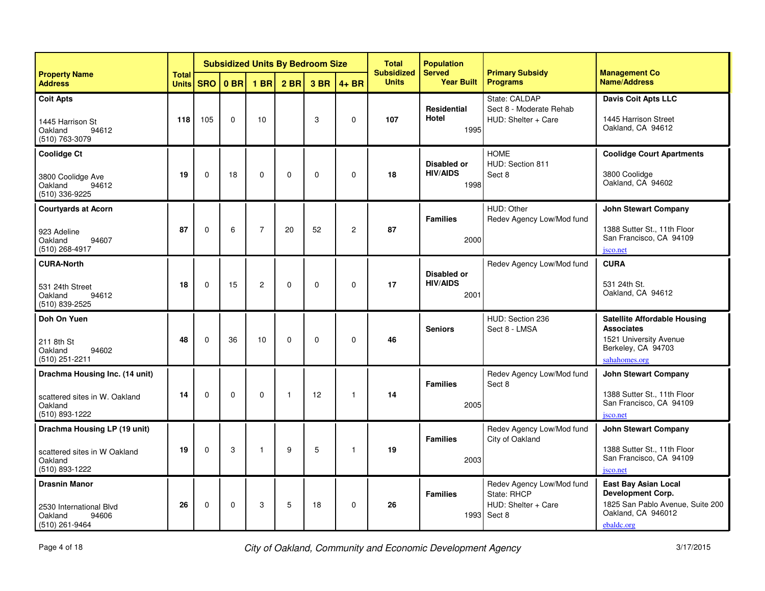|                                                                                              |                              | <b>Subsidized Units By Bedroom Size</b> |                 |                |              |              |                | <b>Total</b><br><b>Subsidized</b> | <b>Population</b><br><b>Served</b>            | <b>Primary Subsidy</b>                                                    | <b>Management Co</b>                                                                                                      |
|----------------------------------------------------------------------------------------------|------------------------------|-----------------------------------------|-----------------|----------------|--------------|--------------|----------------|-----------------------------------|-----------------------------------------------|---------------------------------------------------------------------------|---------------------------------------------------------------------------------------------------------------------------|
| <b>Property Name</b><br><b>Address</b>                                                       | <b>Total</b><br><b>Units</b> | <b>SRO</b>                              | 0 <sub>BR</sub> | <b>1 BR</b>    | $2$ BR       | 3 BR         | $4 + BR$       | <b>Units</b>                      | <b>Year Built</b>                             | <b>Programs</b>                                                           | <b>Name/Address</b>                                                                                                       |
| <b>Coit Apts</b><br>1445 Harrison St<br>Oakland<br>94612<br>(510) 763-3079                   | 118                          | 105                                     | $\Omega$        | 10             |              | 3            | $\mathbf 0$    | 107                               | <b>Residential</b><br><b>Hotel</b><br>1995    | State: CALDAP<br>Sect 8 - Moderate Rehab<br>HUD: Shelter + Care           | <b>Davis Coit Apts LLC</b><br>1445 Harrison Street<br>Oakland, CA 94612                                                   |
| <b>Coolidge Ct</b><br>3800 Coolidge Ave<br>Oakland<br>94612<br>(510) 336-9225                | 19                           | $\Omega$                                | 18              | $\Omega$       | $\Omega$     | $\Omega$     | $\Omega$       | 18                                | Disabled or<br><b>HIV/AIDS</b><br>1998        | <b>HOME</b><br>HUD: Section 811<br>Sect 8                                 | <b>Coolidge Court Apartments</b><br>3800 Coolidge<br>Oakland, CA 94602                                                    |
| <b>Courtyards at Acorn</b><br>923 Adeline<br>Oakland<br>94607<br>(510) 268-4917              | 87                           | $\mathbf 0$                             | 6               | $\overline{7}$ | 20           | 52           | $\overline{c}$ | 87                                | <b>Families</b><br>2000                       | HUD: Other<br>Redev Agency Low/Mod fund                                   | <b>John Stewart Company</b><br>1388 Sutter St., 11th Floor<br>San Francisco, CA 94109<br>jsco.net                         |
| <b>CURA-North</b><br>531 24th Street<br>Oakland<br>94612<br>(510) 839-2525                   | 18                           | $\Omega$                                | 15              | $\overline{c}$ | $\mathbf 0$  | $\Omega$     | $\Omega$       | 17                                | <b>Disabled or</b><br><b>HIV/AIDS</b><br>2001 | Redev Agency Low/Mod fund                                                 | <b>CURA</b><br>531 24th St.<br>Oakland, CA 94612                                                                          |
| Doh On Yuen<br>211 8th St<br>Oakland<br>94602<br>(510) 251-2211                              | 48                           | $\Omega$                                | 36              | 10             | $\Omega$     | $\mathbf{0}$ | $\mathbf 0$    | 46                                | <b>Seniors</b>                                | HUD: Section 236<br>Sect 8 - LMSA                                         | <b>Satellite Affordable Housing</b><br><b>Associates</b><br>1521 University Avenue<br>Berkeley, CA 94703<br>sahahomes.org |
| Drachma Housing Inc. (14 unit)<br>scattered sites in W. Oakland<br>Oakland<br>(510) 893-1222 | 14                           | 0                                       | $\mathbf 0$     | $\mathbf 0$    | $\mathbf{1}$ | 12           | -1             | 14                                | <b>Families</b><br>2005                       | Redev Agency Low/Mod fund<br>Sect 8                                       | <b>John Stewart Company</b><br>1388 Sutter St., 11th Floor<br>San Francisco, CA 94109<br>jsco.net                         |
| Drachma Housing LP (19 unit)<br>scattered sites in W Oakland<br>Oakland<br>(510) 893-1222    | 19                           | $\mathbf 0$                             | 3               | $\mathbf{1}$   | 9            | 5            | $\overline{1}$ | 19                                | <b>Families</b><br>2003                       | Redev Agency Low/Mod fund<br>City of Oakland                              | <b>John Stewart Company</b><br>1388 Sutter St., 11th Floor<br>San Francisco, CA 94109<br>jsco.net                         |
| <b>Drasnin Manor</b><br>2530 International Blvd<br>Oakland<br>94606<br>(510) 261-9464        | 26                           | 0                                       | $\mathbf 0$     | 3              | 5            | 18           | $\mathbf 0$    | 26                                | <b>Families</b><br>1993                       | Redev Agency Low/Mod fund<br>State: RHCP<br>HUD: Shelter + Care<br>Sect 8 | <b>East Bay Asian Local</b><br>Development Corp.<br>1825 San Pablo Avenue, Suite 200<br>Oakland, CA 946012<br>ebaldc.org  |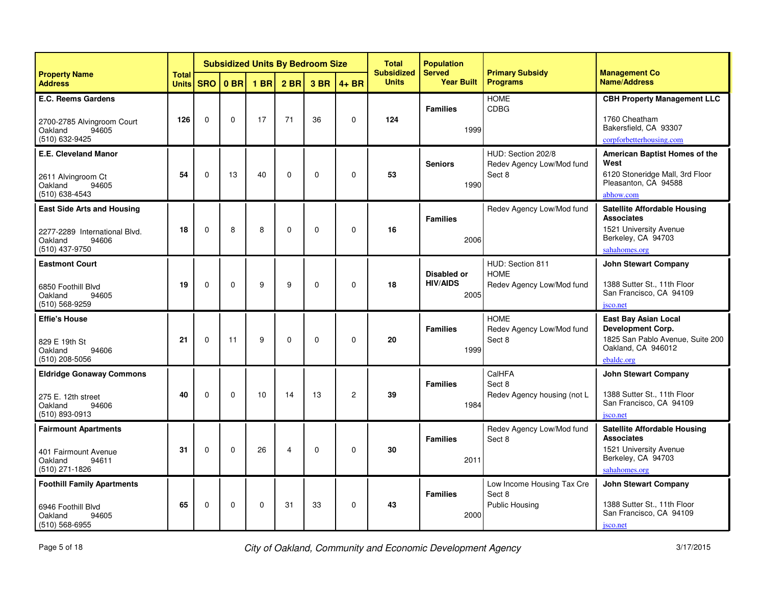|                                                                                                          |                              |             | <b>Subsidized Units By Bedroom Size</b> |             |                 |             |                | <b>Total</b><br><b>Subsidized</b> | <b>Population</b><br><b>Served</b>            | <b>Primary Subsidy</b>                                       | <b>Management Co</b>                                                                                                            |
|----------------------------------------------------------------------------------------------------------|------------------------------|-------------|-----------------------------------------|-------------|-----------------|-------------|----------------|-----------------------------------|-----------------------------------------------|--------------------------------------------------------------|---------------------------------------------------------------------------------------------------------------------------------|
| <b>Property Name</b><br><b>Address</b>                                                                   | <b>Total</b><br><b>Units</b> | <b>SRO</b>  | 0 <sub>BR</sub>                         | <b>1 BR</b> | 2 <sub>BR</sub> | 3 BR        | $4 + BR$       | <b>Units</b>                      | <b>Year Built</b>                             | <b>Programs</b>                                              | <b>Name/Address</b>                                                                                                             |
| <b>E.C. Reems Gardens</b><br>2700-2785 Alvingroom Court<br>94605<br>Oakland<br>(510) 632-9425            | 126                          | $\Omega$    | $\Omega$                                | 17          | 71              | 36          | $\Omega$       | 124                               | <b>Families</b><br>1999                       | <b>HOME</b><br>CDBG                                          | <b>CBH Property Management LLC</b><br>1760 Cheatham<br>Bakersfield, CA 93307<br>corpforbetterhousing.com                        |
| E.E. Cleveland Manor<br>2611 Alvingroom Ct<br>Oakland<br>94605<br>(510) 638-4543                         | 54                           | $\Omega$    | 13                                      | 40          | $\Omega$        | $\Omega$    | $\Omega$       | 53                                | <b>Seniors</b><br>1990                        | HUD: Section 202/8<br>Redev Agency Low/Mod fund<br>Sect 8    | American Baptist Homes of the<br>West<br>6120 Stoneridge Mall, 3rd Floor<br>Pleasanton, CA 94588<br>abhow.com                   |
| <b>East Side Arts and Housing</b><br>2277-2289 International Blvd.<br>Oakland<br>94606<br>(510) 437-9750 | 18                           | $\mathbf 0$ | 8                                       | 8           | $\mathbf 0$     | $\mathbf 0$ | $\mathbf 0$    | 16                                | <b>Families</b><br>2006                       | Redev Agency Low/Mod fund                                    | <b>Satellite Affordable Housing</b><br><b>Associates</b><br>1521 University Avenue<br>Berkeley, CA 94703<br>sahahomes.org       |
| <b>Eastmont Court</b><br>6850 Foothill Blvd<br>Oakland<br>94605<br>(510) 568-9259                        | 19                           | $\Omega$    | $\Omega$                                | 9           | 9               | $\mathbf 0$ | 0              | 18                                | <b>Disabled or</b><br><b>HIV/AIDS</b><br>2005 | HUD: Section 811<br><b>HOME</b><br>Redev Agency Low/Mod fund | <b>John Stewart Company</b><br>1388 Sutter St., 11th Floor<br>San Francisco, CA 94109<br>jsco.net                               |
| <b>Effie's House</b><br>829 E 19th St<br>Oakland<br>94606<br>$(510)$ 208-5056                            | 21                           | $\Omega$    | 11                                      | 9           | $\Omega$        | $\Omega$    | $\Omega$       | 20                                | <b>Families</b><br>1999                       | <b>HOME</b><br>Redev Agency Low/Mod fund<br>Sect 8           | <b>East Bay Asian Local</b><br><b>Development Corp.</b><br>1825 San Pablo Avenue, Suite 200<br>Oakland, CA 946012<br>ebaldc.org |
| <b>Eldridge Gonaway Commons</b><br>275 E. 12th street<br>Oakland<br>94606<br>(510) 893-0913              | 40                           | $\Omega$    | $\Omega$                                | 10          | 14              | 13          | $\overline{c}$ | 39                                | <b>Families</b><br>1984                       | CalHFA<br>Sect 8<br>Redev Agency housing (not L              | <b>John Stewart Company</b><br>1388 Sutter St., 11th Floor<br>San Francisco, CA 94109<br>jsco.net                               |
| <b>Fairmount Apartments</b><br>401 Fairmount Avenue<br>94611<br>Oakland<br>(510) 271-1826                | 31                           | $\Omega$    | $\Omega$                                | 26          | $\overline{4}$  | $\Omega$    | $\Omega$       | 30                                | <b>Families</b><br>2011                       | Redev Agency Low/Mod fund<br>Sect 8                          | <b>Satellite Affordable Housing</b><br><b>Associates</b><br>1521 University Avenue<br>Berkeley, CA 94703<br>sahahomes.org       |
| <b>Foothill Family Apartments</b><br>6946 Foothill Blvd<br>Oakland<br>94605<br>$(510) 568 - 6955$        | 65                           | $\mathbf 0$ | $\mathbf 0$                             | $\mathbf 0$ | 31              | 33          | $\mathbf 0$    | 43                                | <b>Families</b><br>2000                       | Low Income Housing Tax Cre<br>Sect 8<br>Public Housing       | <b>John Stewart Company</b><br>1388 Sutter St., 11th Floor<br>San Francisco, CA 94109<br>jsco.net                               |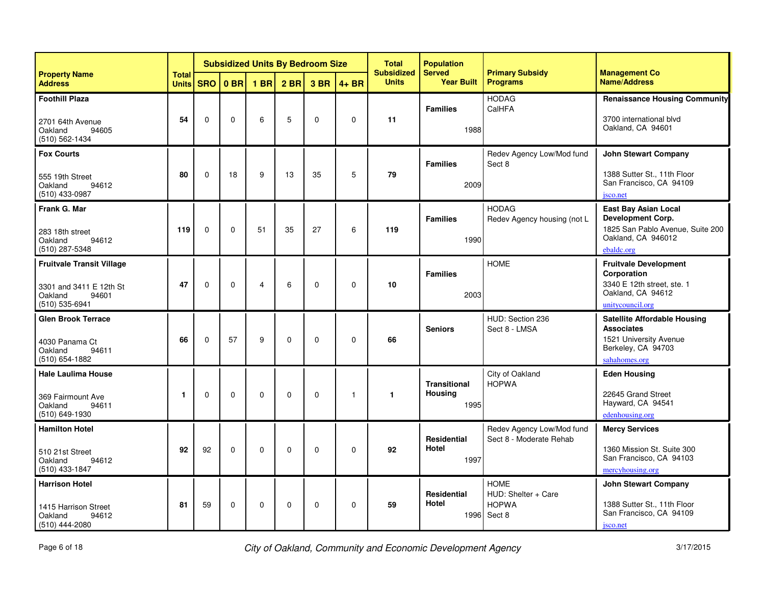|                                                                                                   |                              |             |                 |             |                 | <b>Subsidized Units By Bedroom Size</b> |              | <b>Total</b><br><b>Subsidized</b> | <b>Population</b><br><b>Served</b>            | <b>Primary Subsidy</b>                                       | <b>Management Co</b>                                                                                                      |
|---------------------------------------------------------------------------------------------------|------------------------------|-------------|-----------------|-------------|-----------------|-----------------------------------------|--------------|-----------------------------------|-----------------------------------------------|--------------------------------------------------------------|---------------------------------------------------------------------------------------------------------------------------|
| <b>Property Name</b><br><b>Address</b>                                                            | <b>Total</b><br><b>Units</b> | <b>SRO</b>  | 0 <sub>BR</sub> | <b>1 BR</b> | 2 <sub>BR</sub> | 3 BR                                    | $4 + BR$     | <b>Units</b>                      | <b>Year Built</b>                             | <b>Programs</b>                                              | <b>Name/Address</b>                                                                                                       |
| <b>Foothill Plaza</b><br>2701 64th Avenue<br>94605<br>Oakland<br>$(510) 562 - 1434$               | 54                           | $\Omega$    | $\mathbf 0$     | 6           | 5               | $\mathbf 0$                             | $\Omega$     | 11                                | <b>Families</b><br>1988                       | <b>HODAG</b><br>CalHFA                                       | <b>Renaissance Housing Community</b><br>3700 international blvd<br>Oakland, CA 94601                                      |
| <b>Fox Courts</b><br>555 19th Street<br>Oakland<br>94612<br>(510) 433-0987                        | 80                           | $\Omega$    | 18              | 9           | 13              | 35                                      | 5            | 79                                | <b>Families</b><br>2009                       | Redev Agency Low/Mod fund<br>Sect 8                          | <b>John Stewart Company</b><br>1388 Sutter St., 11th Floor<br>San Francisco, CA 94109<br>jsco.net                         |
| Frank G. Mar<br>283 18th street<br>Oakland<br>94612<br>(510) 287-5348                             | 119                          | $\Omega$    | $\Omega$        | 51          | 35              | 27                                      | 6            | 119                               | <b>Families</b><br>1990                       | <b>HODAG</b><br>Redev Agency housing (not L                  | <b>East Bay Asian Local</b><br>Development Corp.<br>1825 San Pablo Avenue, Suite 200<br>Oakland, CA 946012<br>ebaldc.org  |
| <b>Fruitvale Transit Village</b><br>3301 and 3411 E 12th St<br>Oakland<br>94601<br>(510) 535-6941 | 47                           | $\mathbf 0$ | $\mathbf 0$     | 4           | 6               | $\mathbf 0$                             | $\mathbf 0$  | 10                                | <b>Families</b><br>2003                       | <b>HOME</b>                                                  | <b>Fruitvale Development</b><br>Corporation<br>3340 E 12th street, ste. 1<br>Oakland, CA 94612<br>unitycouncil.org        |
| <b>Glen Brook Terrace</b><br>4030 Panama Ct<br>Oakland<br>94611<br>(510) 654-1882                 | 66                           | $\Omega$    | 57              | 9           | $\mathbf 0$     | $\mathbf 0$                             | $\mathbf 0$  | 66                                | <b>Seniors</b>                                | HUD: Section 236<br>Sect 8 - LMSA                            | <b>Satellite Affordable Housing</b><br><b>Associates</b><br>1521 University Avenue<br>Berkeley, CA 94703<br>sahahomes.org |
| <b>Hale Laulima House</b><br>369 Fairmount Ave<br>Oakland<br>94611<br>(510) 649-1930              | 1                            | $\Omega$    | $\Omega$        | $\Omega$    | $\Omega$        | $\mathbf 0$                             | $\mathbf{1}$ | $\mathbf{1}$                      | <b>Transitional</b><br><b>Housing</b><br>1995 | City of Oakland<br><b>HOPWA</b>                              | <b>Eden Housing</b><br>22645 Grand Street<br>Hayward, CA 94541<br>edenhousing.org                                         |
| <b>Hamilton Hotel</b><br>510 21st Street<br>Oakland<br>94612<br>$(510)$ 433-1847                  | 92                           | 92          | $\Omega$        | 0           | $\Omega$        | $\mathbf 0$                             | $\Omega$     | 92                                | <b>Residential</b><br>Hotel<br>1997           | Redev Agency Low/Mod fund<br>Sect 8 - Moderate Rehab         | <b>Mercy Services</b><br>1360 Mission St. Suite 300<br>San Francisco, CA 94103<br>mercyhousing.org                        |
| <b>Harrison Hotel</b><br>1415 Harrison Street<br>Oakland<br>94612<br>$(510)$ 444-2080             | 81                           | 59          | $\mathbf 0$     | 0           | $\mathbf 0$     | $\mathbf 0$                             | $\mathbf 0$  | 59                                | <b>Residential</b><br>Hotel<br>1996           | <b>HOME</b><br>HUD: Shelter + Care<br><b>HOPWA</b><br>Sect 8 | <b>John Stewart Company</b><br>1388 Sutter St., 11th Floor<br>San Francisco, CA 94109<br>jsco.net                         |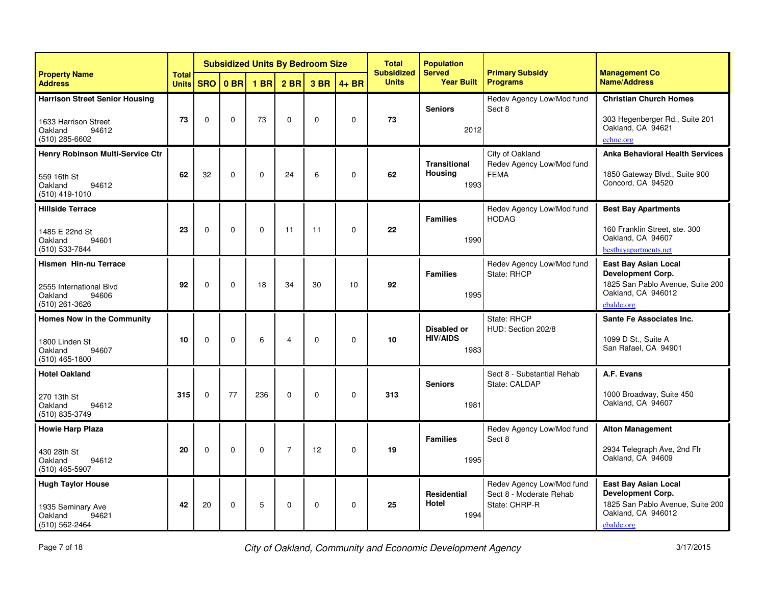|                                                                                                       |                              |             |                 |                 |                 | <b>Subsidized Units By Bedroom Size</b> |             | <b>Total</b><br><b>Subsidized</b> | <b>Population</b><br><b>Served</b>         | <b>Primary Subsidy</b>                                                | <b>Management Co</b>                                                                                                     |
|-------------------------------------------------------------------------------------------------------|------------------------------|-------------|-----------------|-----------------|-----------------|-----------------------------------------|-------------|-----------------------------------|--------------------------------------------|-----------------------------------------------------------------------|--------------------------------------------------------------------------------------------------------------------------|
| <b>Property Name</b><br><b>Address</b>                                                                | <b>Total</b><br><b>Units</b> | <b>SRO</b>  | 0 <sub>BR</sub> | 1 <sub>BR</sub> | 2 <sub>BR</sub> | 3 BR                                    | $4 + BR$    | <b>Units</b>                      | <b>Year Built</b>                          | <b>Programs</b>                                                       | <b>Name/Address</b>                                                                                                      |
| <b>Harrison Street Senior Housing</b><br>1633 Harrison Street<br>Oakland<br>94612<br>$(510)$ 285-6602 | 73                           | $\Omega$    | $\mathbf 0$     | 73              | $\Omega$        | $\Omega$                                | $\mathbf 0$ | 73                                | <b>Seniors</b><br>2012                     | Redev Agency Low/Mod fund<br>Sect 8                                   | <b>Christian Church Homes</b><br>303 Hegenberger Rd., Suite 201<br>Oakland, CA 94621<br>cchnc.org                        |
| Henry Robinson Multi-Service Ctr<br>559 16th St<br>Oakland<br>94612<br>$(510)$ 419-1010               | 62                           | 32          | $\Omega$        | $\Omega$        | 24              | 6                                       | $\Omega$    | 62                                | <b>Transitional</b><br>Housina<br>1993     | City of Oakland<br>Redev Agency Low/Mod fund<br><b>FEMA</b>           | <b>Anka Behavioral Health Services</b><br>1850 Gateway Blvd., Suite 900<br>Concord, CA 94520                             |
| <b>Hillside Terrace</b><br>1485 E 22nd St<br>Oakland<br>94601<br>(510) 533-7844                       | 23                           | $\mathbf 0$ | 0               | $\mathbf 0$     | 11              | 11                                      | $\mathbf 0$ | 22                                | <b>Families</b><br>1990                    | Redev Agency Low/Mod fund<br><b>HODAG</b>                             | <b>Best Bay Apartments</b><br>160 Franklin Street, ste. 300<br>Oakland, CA 94607<br>bestbayapartments.net                |
| <b>Hismen Hin-nu Terrace</b><br>2555 International Blvd<br>Oakland<br>94606<br>(510) 261-3626         | 92                           | $\Omega$    | $\Omega$        | 18              | 34              | 30                                      | 10          | 92                                | <b>Families</b><br>1995                    | Redev Agency Low/Mod fund<br>State: RHCP                              | <b>East Bay Asian Local</b><br>Development Corp.<br>1825 San Pablo Avenue, Suite 200<br>Oakland, CA 946012<br>ebaldc.org |
| <b>Homes Now in the Community</b><br>1800 Linden St<br>Oakland<br>94607<br>$(510)$ 465-1800           | 10                           | $\Omega$    | $\Omega$        | 6               | $\overline{4}$  | $\Omega$                                | $\mathbf 0$ | 10                                | Disabled or<br><b>HIV/AIDS</b><br>1983     | State: RHCP<br>HUD: Section 202/8                                     | Sante Fe Associates Inc.<br>1099 D St., Suite A<br>San Rafael, CA 94901                                                  |
| <b>Hotel Oakland</b><br>270 13th St<br>Oakland<br>94612<br>(510) 835-3749                             | 315                          | $\Omega$    | 77              | 236             | $\Omega$        | $\Omega$                                | $\mathbf 0$ | 313                               | <b>Seniors</b><br>1981                     | Sect 8 - Substantial Rehab<br>State: CALDAP                           | A.F. Evans<br>1000 Broadway, Suite 450<br>Oakland, CA 94607                                                              |
| <b>Howie Harp Plaza</b><br>430 28th St<br>Oakland<br>94612<br>(510) 465-5907                          | 20                           | $\mathbf 0$ | 0               | $\mathbf 0$     | $\overline{7}$  | 12                                      | $\mathbf 0$ | 19                                | <b>Families</b><br>1995                    | Redev Agency Low/Mod fund<br>Sect 8                                   | <b>Alton Management</b><br>2934 Telegraph Ave, 2nd Flr<br>Oakland, CA 94609                                              |
| <b>Hugh Taylor House</b><br>1935 Seminary Ave<br>Oakland<br>94621<br>(510) 562-2464                   | 42                           | 20          | $\mathbf 0$     | 5               | $\Omega$        | $\mathbf 0$                             | $\Omega$    | 25                                | <b>Residential</b><br><b>Hotel</b><br>1994 | Redev Agency Low/Mod fund<br>Sect 8 - Moderate Rehab<br>State: CHRP-R | <b>East Bay Asian Local</b><br>Development Corp.<br>1825 San Pablo Avenue, Suite 200<br>Oakland, CA 946012<br>ebaldc.org |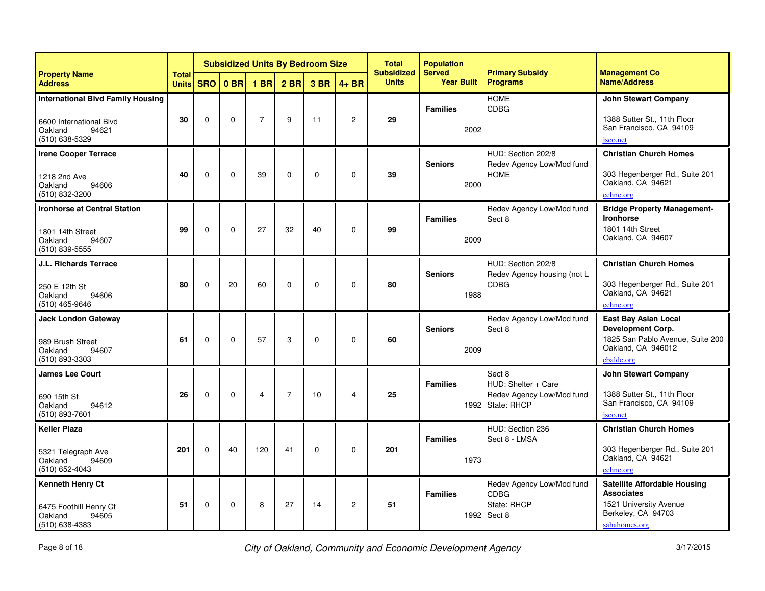|                                                                                                           | <b>Subsidized Units By Bedroom Size</b><br><b>Total</b> |             |          |                 |                 | <b>Total</b><br><b>Subsidized</b> | <b>Population</b><br><b>Served</b> | <b>Primary Subsidy</b> | <b>Management Co</b>    |                                                                                |                                                                                                                                 |
|-----------------------------------------------------------------------------------------------------------|---------------------------------------------------------|-------------|----------|-----------------|-----------------|-----------------------------------|------------------------------------|------------------------|-------------------------|--------------------------------------------------------------------------------|---------------------------------------------------------------------------------------------------------------------------------|
| <b>Property Name</b><br><b>Address</b>                                                                    | <b>Units</b>                                            | <b>SRO</b>  | $0$ BR   | 1 <sub>BR</sub> | 2 <sub>BR</sub> | 3 BR                              | $4 + BR$                           | <b>Units</b>           | <b>Year Built</b>       | <b>Programs</b>                                                                | <b>Name/Address</b>                                                                                                             |
| <b>International Blvd Family Housing</b><br>6600 International Blvd<br>94621<br>Oakland<br>(510) 638-5329 | 30                                                      | $\Omega$    | $\Omega$ | $\overline{7}$  | 9               | 11                                | $\boldsymbol{2}$                   | 29                     | <b>Families</b><br>2002 | <b>HOME</b><br><b>CDBG</b>                                                     | <b>John Stewart Company</b><br>1388 Sutter St., 11th Floor<br>San Francisco, CA 94109<br>jsco.net                               |
| <b>Irene Cooper Terrace</b><br>1218 2nd Ave<br>Oakland<br>94606<br>(510) 832-3200                         | 40                                                      | $\Omega$    | $\Omega$ | 39              | $\Omega$        | $\Omega$                          | $\Omega$                           | 39                     | <b>Seniors</b><br>2000  | HUD: Section 202/8<br>Redev Agency Low/Mod fund<br><b>HOME</b>                 | <b>Christian Church Homes</b><br>303 Hegenberger Rd., Suite 201<br>Oakland, CA 94621<br>cchnc.org                               |
| <b>Ironhorse at Central Station</b><br>1801 14th Street<br>94607<br>Oakland<br>(510) 839-5555             | 99                                                      | $\mathbf 0$ | 0        | 27              | 32              | 40                                | $\mathbf 0$                        | 99                     | <b>Families</b><br>2009 | Redev Agency Low/Mod fund<br>Sect 8                                            | <b>Bridge Property Management-</b><br><b>Ironhorse</b><br>1801 14th Street<br>Oakland, CA 94607                                 |
| <b>J.L. Richards Terrace</b><br>250 E 12th St<br>94606<br>Oakland<br>(510) 465-9646                       | 80                                                      | $\Omega$    | 20       | 60              | $\mathbf{0}$    | $\Omega$                          | $\mathbf 0$                        | 80                     | <b>Seniors</b><br>1988  | HUD: Section 202/8<br>Redev Agency housing (not L<br><b>CDBG</b>               | <b>Christian Church Homes</b><br>303 Hegenberger Rd., Suite 201<br>Oakland, CA 94621<br>cchnc.org                               |
| <b>Jack London Gateway</b><br>989 Brush Street<br>Oakland<br>94607<br>(510) 893-3303                      | 61                                                      | $\Omega$    | $\Omega$ | 57              | 3               | $\Omega$                          | $\Omega$                           | 60                     | <b>Seniors</b><br>2009  | Redev Agency Low/Mod fund<br>Sect 8                                            | <b>East Bay Asian Local</b><br><b>Development Corp.</b><br>1825 San Pablo Avenue, Suite 200<br>Oakland, CA 946012<br>ebaldc.org |
| <b>James Lee Court</b><br>690 15th St<br>Oakland<br>94612<br>(510) 893-7601                               | 26                                                      | $\Omega$    | $\Omega$ | 4               | $\overline{7}$  | 10                                | 4                                  | 25                     | <b>Families</b>         | Sect 8<br>HUD: Shelter + Care<br>Redev Agency Low/Mod fund<br>1992 State: RHCP | <b>John Stewart Company</b><br>1388 Sutter St., 11th Floor<br>San Francisco, CA 94109<br>isco.net                               |
| <b>Keller Plaza</b><br>5321 Telegraph Ave<br>94609<br>Oakland<br>(510) 652-4043                           | 201                                                     | $\Omega$    | 40       | 120             | 41              | $\Omega$                          | $\mathbf 0$                        | 201                    | <b>Families</b><br>1973 | HUD: Section 236<br>Sect 8 - LMSA                                              | <b>Christian Church Homes</b><br>303 Hegenberger Rd., Suite 201<br>Oakland, CA 94621<br>cchnc.org                               |
| <b>Kenneth Henry Ct</b><br>6475 Foothill Henry Ct<br>Oakland<br>94605<br>$(510)$ 638-4383                 | 51                                                      | $\mathbf 0$ | 0        | 8               | 27              | 14                                | $\overline{c}$                     | 51                     | <b>Families</b><br>1992 | Redev Agency Low/Mod fund<br><b>CDBG</b><br>State: RHCP<br>Sect 8              | <b>Satellite Affordable Housing</b><br><b>Associates</b><br>1521 University Avenue<br>Berkeley, CA 94703<br>sahahomes.org       |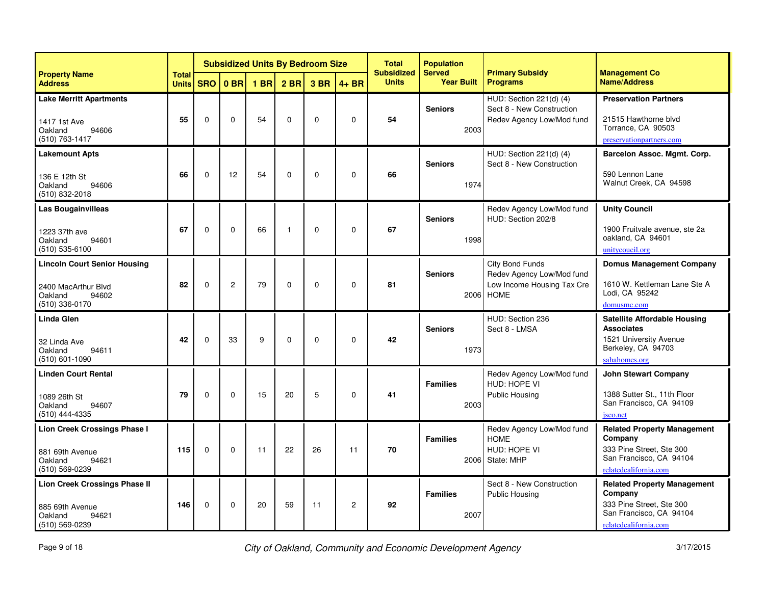|                                                                                                  | <b>Subsidized Units By Bedroom Size</b><br><b>Total</b> |              |                 |             | <b>Population</b><br><b>Total</b><br><b>Subsidized</b><br><b>Served</b> |          | <b>Primary Subsidy</b><br><b>Management Co</b><br><b>Name/Address</b><br><b>Programs</b> |              |                         |                                                                                           |                                                                                                                               |
|--------------------------------------------------------------------------------------------------|---------------------------------------------------------|--------------|-----------------|-------------|-------------------------------------------------------------------------|----------|------------------------------------------------------------------------------------------|--------------|-------------------------|-------------------------------------------------------------------------------------------|-------------------------------------------------------------------------------------------------------------------------------|
| <b>Property Name</b><br><b>Address</b>                                                           | <b>Units</b>                                            | <b>SRO</b>   | 0 <sub>BR</sub> | <b>1 BR</b> | $2$ BR                                                                  | 3 BR     | $4 + BR$                                                                                 | <b>Units</b> | <b>Year Built</b>       |                                                                                           |                                                                                                                               |
| <b>Lake Merritt Apartments</b><br>1417 1st Ave<br>94606<br>Oakland<br>(510) 763-1417             | 55                                                      | $\mathbf{0}$ | $\Omega$        | 54          | $\Omega$                                                                | $\Omega$ | $\Omega$                                                                                 | 54           | <b>Seniors</b><br>2003  | HUD: Section 221(d) (4)<br>Sect 8 - New Construction<br>Redev Agency Low/Mod fund         | <b>Preservation Partners</b><br>21515 Hawthorne blvd<br>Torrance, CA 90503<br>preservationpartners.com                        |
| <b>Lakemount Apts</b><br>136 E 12th St<br>Oakland<br>94606<br>(510) 832-2018                     | 66                                                      | $\Omega$     | 12              | 54          | $\Omega$                                                                | $\Omega$ | $\mathbf 0$                                                                              | 66           | <b>Seniors</b><br>1974  | HUD: Section 221(d) (4)<br>Sect 8 - New Construction                                      | Barcelon Assoc. Mgmt. Corp.<br>590 Lennon Lane<br>Walnut Creek, CA 94598                                                      |
| <b>Las Bougainvilleas</b><br>1223 37th ave<br>Oakland<br>94601<br>(510) 535-6100                 | 67                                                      | $\Omega$     | $\Omega$        | 66          | $\mathbf{1}$                                                            | $\Omega$ | $\Omega$                                                                                 | 67           | <b>Seniors</b><br>1998  | Redev Agency Low/Mod fund<br>HUD: Section 202/8                                           | <b>Unity Council</b><br>1900 Fruitvale avenue, ste 2a<br>oakland, CA 94601<br>unitycoucil.org                                 |
| <b>Lincoln Court Senior Housing</b><br>2400 MacArthur Blvd<br>94602<br>Oakland<br>(510) 336-0170 | 82                                                      | $\Omega$     | $\overline{c}$  | 79          | $\Omega$                                                                | $\Omega$ | $\Omega$                                                                                 | 81           | <b>Seniors</b><br>2006  | City Bond Funds<br>Redev Agency Low/Mod fund<br>Low Income Housing Tax Cre<br><b>HOME</b> | <b>Domus Management Company</b><br>1610 W. Kettleman Lane Ste A<br>Lodi, CA 95242<br>domusmc.com                              |
| <b>Linda Glen</b><br>32 Linda Ave<br>Oakland<br>94611<br>(510) 601-1090                          | 42                                                      | $\mathbf 0$  | 33              | 9           | $\mathbf{0}$                                                            | $\Omega$ | $\mathbf 0$                                                                              | 42           | <b>Seniors</b><br>1973  | HUD: Section 236<br>Sect 8 - LMSA                                                         | <b>Satellite Affordable Housing</b><br><b>Associates</b><br>1521 University Avenue<br>Berkeley, CA 94703<br>sahahomes.org     |
| <b>Linden Court Rental</b><br>1089 26th St<br>Oakland<br>94607<br>(510) 444-4335                 | 79                                                      | $\Omega$     | $\Omega$        | 15          | 20                                                                      | 5        | $\Omega$                                                                                 | 41           | <b>Families</b><br>2003 | Redev Agency Low/Mod fund<br>HUD: HOPE VI<br><b>Public Housing</b>                        | <b>John Stewart Company</b><br>1388 Sutter St., 11th Floor<br>San Francisco, CA 94109<br>jsco.net                             |
| Lion Creek Crossings Phase I<br>881 69th Avenue<br>94621<br>Oakland<br>(510) 569-0239            | 115                                                     | $\mathbf{0}$ | $\Omega$        | 11          | 22                                                                      | 26       | 11                                                                                       | 70           | <b>Families</b><br>2006 | Redev Agency Low/Mod fund<br><b>HOME</b><br>HUD: HOPE VI<br>State: MHP                    | <b>Related Property Management</b><br>Company<br>333 Pine Street. Ste 300<br>San Francisco, CA 94104<br>relatedcalifornia.com |
| <b>Lion Creek Crossings Phase II</b><br>885 69th Avenue<br>Oakland<br>94621<br>(510) 569-0239    | 146                                                     | $\mathbf 0$  | 0               | 20          | 59                                                                      | 11       | $\overline{c}$                                                                           | 92           | <b>Families</b><br>2007 | Sect 8 - New Construction<br><b>Public Housing</b>                                        | <b>Related Property Management</b><br>Company<br>333 Pine Street, Ste 300<br>San Francisco, CA 94104<br>relatedcalifornia.com |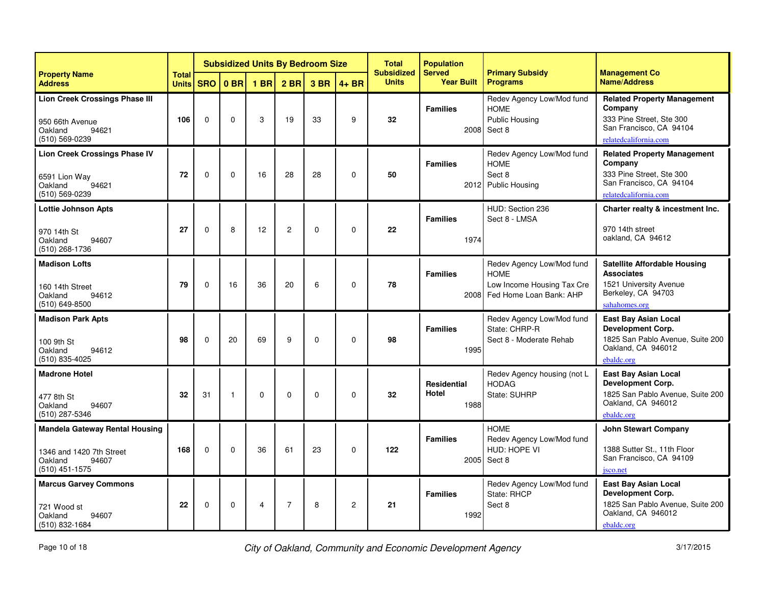|                                                                                                           |                              | <b>Subsidized Units By Bedroom Size</b> |                 |                |                 |             |                | <b>Total</b><br><b>Subsidized</b> | <b>Population</b><br><b>Served</b>  | <b>Primary Subsidy</b>                                                                            | <b>Management Co</b>                                                                                                            |
|-----------------------------------------------------------------------------------------------------------|------------------------------|-----------------------------------------|-----------------|----------------|-----------------|-------------|----------------|-----------------------------------|-------------------------------------|---------------------------------------------------------------------------------------------------|---------------------------------------------------------------------------------------------------------------------------------|
| <b>Property Name</b><br><b>Address</b>                                                                    | <b>Total</b><br><b>Units</b> | <b>SRO</b>                              | 0 <sub>BR</sub> | <b>1 BR</b>    | 2 <sub>BR</sub> | 3 BR        | $4 + BR$       | <b>Units</b>                      | <b>Year Built</b>                   | <b>Programs</b>                                                                                   | <b>Name/Address</b>                                                                                                             |
| <b>Lion Creek Crossings Phase III</b><br>950 66th Avenue<br>94621<br>Oakland<br>(510) 569-0239            | 106                          | $\mathbf{0}$                            | $\Omega$        | 3              | 19              | 33          | 9              | 32                                | <b>Families</b><br>2008             | Redev Agency Low/Mod fund<br><b>HOME</b><br><b>Public Housing</b><br>Sect 8                       | <b>Related Property Management</b><br>Company<br>333 Pine Street, Ste 300<br>San Francisco, CA 94104<br>relatedcalifornia.com   |
| <b>Lion Creek Crossings Phase IV</b><br>6591 Lion Way<br>94621<br>Oakland<br>(510) 569-0239               | 72                           | $\Omega$                                | $\Omega$        | 16             | 28              | 28          | 0              | 50                                | <b>Families</b><br>2012             | Redev Agency Low/Mod fund<br><b>HOME</b><br>Sect 8<br><b>Public Housing</b>                       | <b>Related Property Management</b><br>Company<br>333 Pine Street, Ste 300<br>San Francisco, CA 94104<br>relatedcalifornia.com   |
| <b>Lottie Johnson Apts</b><br>970 14th St<br>Oakland<br>94607<br>$(510)$ 268-1736                         | 27                           | $\Omega$                                | 8               | 12             | $\overline{c}$  | $\mathbf 0$ | $\Omega$       | $22\phantom{.0}$                  | <b>Families</b><br>1974             | HUD: Section 236<br>Sect 8 - LMSA                                                                 | Charter realty & incestment Inc.<br>970 14th street<br>oakland, CA 94612                                                        |
| <b>Madison Lofts</b><br>160 14th Street<br>Oakland<br>94612<br>(510) 649-8500                             | 79                           | $\Omega$                                | 16              | 36             | 20              | 6           | $\Omega$       | 78                                | <b>Families</b><br>2008             | Redev Agency Low/Mod fund<br><b>HOME</b><br>Low Income Housing Tax Cre<br>Fed Home Loan Bank: AHP | <b>Satellite Affordable Housing</b><br><b>Associates</b><br>1521 University Avenue<br>Berkeley, CA 94703<br>sahahomes.org       |
| <b>Madison Park Apts</b><br>100 9th St<br>Oakland<br>94612<br>$(510) 835 - 4025$                          | 98                           | $\Omega$                                | 20              | 69             | 9               | $\mathbf 0$ | 0              | 98                                | <b>Families</b><br>1995             | Redev Agency Low/Mod fund<br>State: CHRP-R<br>Sect 8 - Moderate Rehab                             | East Bay Asian Local<br><b>Development Corp.</b><br>1825 San Pablo Avenue, Suite 200<br>Oakland, CA 946012<br>ebaldc.org        |
| <b>Madrone Hotel</b><br>477 8th St<br>Oakland<br>94607<br>(510) 287-5346                                  | 32                           | 31                                      | $\overline{1}$  | $\Omega$       | $\Omega$        | $\Omega$    | $\Omega$       | 32                                | <b>Residential</b><br>Hotel<br>1988 | Redev Agency housing (not L<br><b>HODAG</b><br>State: SUHRP                                       | <b>East Bay Asian Local</b><br><b>Development Corp.</b><br>1825 San Pablo Avenue, Suite 200<br>Oakland, CA 946012<br>ebaldc.org |
| <b>Mandela Gateway Rental Housing</b><br>1346 and 1420 7th Street<br>94607<br>Oakland<br>$(510)$ 451-1575 | 168                          | $\mathbf{0}$                            | $\Omega$        | 36             | 61              | 23          | $\mathbf{0}$   | 122                               | <b>Families</b><br>2005             | <b>HOMF</b><br>Redev Agency Low/Mod fund<br>HUD: HOPE VI<br>Sect 8                                | <b>John Stewart Company</b><br>1388 Sutter St., 11th Floor<br>San Francisco, CA 94109<br>jsco.net                               |
| <b>Marcus Garvey Commons</b><br>721 Wood st<br>Oakland<br>94607<br>(510) 832-1684                         | 22                           | $\mathbf 0$                             | $\mathbf 0$     | $\overline{4}$ | $\overline{7}$  | 8           | $\overline{c}$ | 21                                | <b>Families</b><br>1992             | Redev Agency Low/Mod fund<br>State: RHCP<br>Sect 8                                                | <b>East Bay Asian Local</b><br><b>Development Corp.</b><br>1825 San Pablo Avenue, Suite 200<br>Oakland, CA 946012<br>ebaldc.org |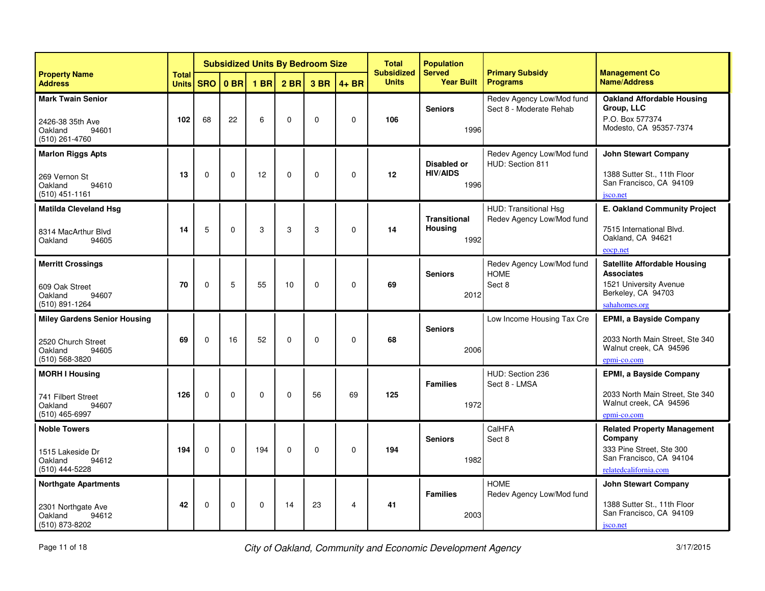|                                                                                                 |                              | <b>Subsidized Units By Bedroom Size</b><br>0 <sub>BR</sub><br>1 <sub>BR</sub> |             |             |                 |             |                | <b>Total</b><br><b>Subsidized</b> | <b>Population</b><br><b>Served</b>            | <b>Primary Subsidy</b>                               | <b>Management Co</b>                                                                                                          |
|-------------------------------------------------------------------------------------------------|------------------------------|-------------------------------------------------------------------------------|-------------|-------------|-----------------|-------------|----------------|-----------------------------------|-----------------------------------------------|------------------------------------------------------|-------------------------------------------------------------------------------------------------------------------------------|
| <b>Property Name</b><br><b>Address</b>                                                          | <b>Total</b><br><b>Units</b> | <b>SRO</b>                                                                    |             |             | 2 <sub>BR</sub> | 3 BR        | $4 + BR$       | <b>Units</b>                      | <b>Year Built</b>                             | <b>Programs</b>                                      | <b>Name/Address</b>                                                                                                           |
| <b>Mark Twain Senior</b><br>2426-38 35th Ave<br>Oakland<br>94601<br>(510) 261-4760              | 102                          | 68                                                                            | 22          | 6           | $\mathbf 0$     | $\Omega$    | $\mathbf 0$    | 106                               | <b>Seniors</b><br>1996                        | Redev Agency Low/Mod fund<br>Sect 8 - Moderate Rehab | Oakland Affordable Housing<br>Group, LLC<br>P.O. Box 577374<br>Modesto, CA 95357-7374                                         |
| <b>Marlon Riggs Apts</b><br>269 Vernon St<br>Oakland<br>94610<br>$(510)$ 451-1161               | 13                           | $\Omega$                                                                      | $\Omega$    | 12          | $\Omega$        | $\Omega$    | $\Omega$       | 12                                | <b>Disabled or</b><br><b>HIV/AIDS</b><br>1996 | Redev Agency Low/Mod fund<br>HUD: Section 811        | <b>John Stewart Company</b><br>1388 Sutter St., 11th Floor<br>San Francisco, CA 94109<br>jsco.net                             |
| <b>Matilda Cleveland Hsg</b><br>8314 MacArthur Blvd<br>Oakland<br>94605                         | 14                           | 5                                                                             | $\mathbf 0$ | 3           | 3               | 3           | $\mathbf 0$    | 14                                | <b>Transitional</b><br><b>Housing</b><br>1992 | HUD: Transitional Hsg<br>Redev Agency Low/Mod fund   | E. Oakland Community Project<br>7515 International Blvd.<br>Oakland, CA 94621<br>eocp.net                                     |
| <b>Merritt Crossings</b><br>609 Oak Street<br>Oakland<br>94607<br>(510) 891-1264                | 70                           | $\Omega$                                                                      | 5           | 55          | 10              | $\Omega$    | $\Omega$       | 69                                | <b>Seniors</b><br>2012                        | Redev Agency Low/Mod fund<br><b>HOME</b><br>Sect 8   | <b>Satellite Affordable Housing</b><br><b>Associates</b><br>1521 University Avenue<br>Berkeley, CA 94703<br>sahahomes.org     |
| <b>Miley Gardens Senior Housing</b><br>2520 Church Street<br>Oakland<br>94605<br>(510) 568-3820 | 69                           | $\Omega$                                                                      | 16          | 52          | $\mathbf 0$     | $\Omega$    | $\mathbf 0$    | 68                                | <b>Seniors</b><br>2006                        | Low Income Housing Tax Cre                           | EPMI, a Bayside Company<br>2033 North Main Street, Ste 340<br>Walnut creek, CA 94596<br>epmi-co.com                           |
| <b>MORH I Housing</b><br>741 Filbert Street<br>94607<br>Oakland<br>(510) 465-6997               | 126                          | $\Omega$                                                                      | $\Omega$    | $\mathbf 0$ | $\Omega$        | 56          | 69             | 125                               | <b>Families</b><br>1972                       | HUD: Section 236<br>Sect 8 - LMSA                    | <b>EPMI, a Bayside Company</b><br>2033 North Main Street, Ste 340<br>Walnut creek, CA 94596<br>epmi-co.com                    |
| <b>Noble Towers</b><br>1515 Lakeside Dr<br>Oakland<br>94612<br>(510) 444-5228                   | 194                          | $\mathbf 0$                                                                   | $\mathbf 0$ | 194         | $\mathbf 0$     | $\mathbf 0$ | $\mathbf 0$    | 194                               | <b>Seniors</b><br>1982                        | CalHFA<br>Sect 8                                     | <b>Related Property Management</b><br>Company<br>333 Pine Street, Ste 300<br>San Francisco, CA 94104<br>relatedcalifornia.com |
| <b>Northgate Apartments</b><br>2301 Northgate Ave<br>Oakland<br>94612<br>(510) 873-8202         | 42                           | $\mathbf 0$                                                                   | $\mathbf 0$ | $\mathbf 0$ | 14              | 23          | $\overline{4}$ | 41                                | <b>Families</b><br>2003                       | <b>HOME</b><br>Redev Agency Low/Mod fund             | <b>John Stewart Company</b><br>1388 Sutter St., 11th Floor<br>San Francisco, CA 94109<br>jsco.net                             |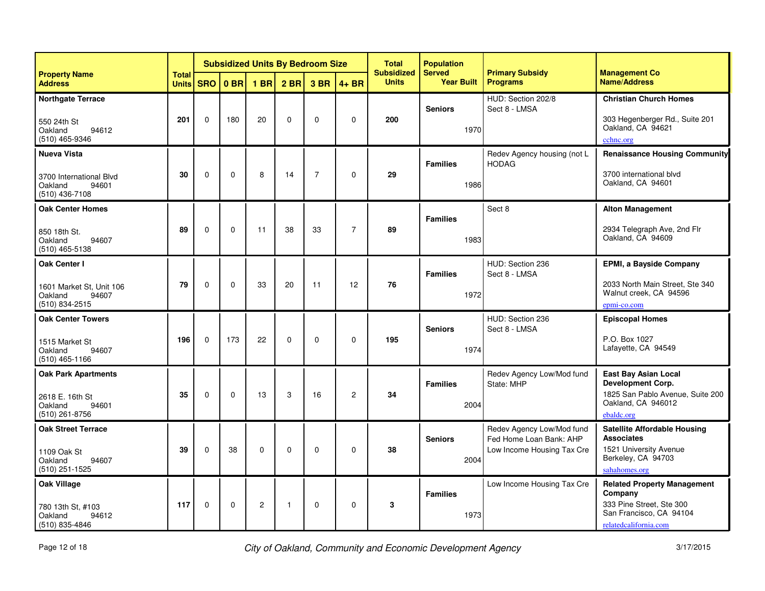|                                                                                       |                              |              |                 |                 |                 | <b>Subsidized Units By Bedroom Size</b> |                | <b>Total</b><br><b>Subsidized</b> | <b>Population</b><br><b>Served</b> | <b>Primary Subsidy</b>                                                             | <b>Management Co</b>                                                                                                          |
|---------------------------------------------------------------------------------------|------------------------------|--------------|-----------------|-----------------|-----------------|-----------------------------------------|----------------|-----------------------------------|------------------------------------|------------------------------------------------------------------------------------|-------------------------------------------------------------------------------------------------------------------------------|
| <b>Property Name</b><br><b>Address</b>                                                | <b>Total</b><br><b>Units</b> | <b>SRO</b>   | 0 <sub>BR</sub> | 1 <sub>BR</sub> | 2 <sub>BR</sub> | 3 BR                                    | $4 + BR$       | <b>Units</b>                      | <b>Year Built</b>                  | <b>Programs</b>                                                                    | <b>Name/Address</b>                                                                                                           |
| <b>Northgate Terrace</b><br>550 24th St<br>94612<br>Oakland<br>(510) 465-9346         | 201                          | $\mathbf{0}$ | 180             | 20              | $\mathbf 0$     | $\mathbf{0}$                            | $\mathbf 0$    | 200                               | <b>Seniors</b><br>1970             | HUD: Section 202/8<br>Sect 8 - LMSA                                                | <b>Christian Church Homes</b><br>303 Hegenberger Rd., Suite 201<br>Oakland, CA 94621<br>cchnc.org                             |
| <b>Nueva Vista</b><br>3700 International Blvd<br>Oakland<br>94601<br>$(510)$ 436-7108 | 30                           | $\Omega$     | $\Omega$        | 8               | 14              | $\overline{7}$                          | $\Omega$       | 29                                | <b>Families</b><br>1986            | Redev Agency housing (not L<br><b>HODAG</b>                                        | <b>Renaissance Housing Community</b><br>3700 international blyd<br>Oakland, CA 94601                                          |
| <b>Oak Center Homes</b><br>850 18th St.<br>94607<br>Oakland<br>$(510)$ 465-5138       | 89                           | $\mathbf 0$  | $\mathbf 0$     | 11              | 38              | 33                                      | $\overline{7}$ | 89                                | <b>Families</b><br>1983            | Sect 8                                                                             | <b>Alton Management</b><br>2934 Telegraph Ave, 2nd Flr<br>Oakland, CA 94609                                                   |
| Oak Center I<br>1601 Market St. Unit 106<br>94607<br>Oakland<br>(510) 834-2515        | 79                           | $\Omega$     | $\Omega$        | 33              | 20              | 11                                      | 12             | 76                                | <b>Families</b><br>1972            | HUD: Section 236<br>Sect 8 - LMSA                                                  | <b>EPMI, a Bayside Company</b><br>2033 North Main Street. Ste 340<br>Walnut creek, CA 94596<br>epmi-co.com                    |
| <b>Oak Center Towers</b><br>1515 Market St<br>Oakland<br>94607<br>$(510)$ 465-1166    | 196                          | $\Omega$     | 173             | 22              | $\mathbf 0$     | $\mathbf 0$                             | $\mathbf 0$    | 195                               | <b>Seniors</b><br>1974             | HUD: Section 236<br>Sect 8 - LMSA                                                  | <b>Episcopal Homes</b><br>P.O. Box 1027<br>Lafayette, CA 94549                                                                |
| <b>Oak Park Apartments</b><br>2618 E. 16th St<br>94601<br>Oakland<br>$(510)$ 261-8756 | 35                           | $\Omega$     | $\Omega$        | 13              | 3               | 16                                      | 2              | 34                                | <b>Families</b><br>2004            | Redev Agency Low/Mod fund<br>State: MHP                                            | <b>East Bay Asian Local</b><br>Development Corp.<br>1825 San Pablo Avenue, Suite 200<br>Oakland, CA 946012<br>ebaldc.org      |
| <b>Oak Street Terrace</b><br>1109 Oak St<br>Oakland<br>94607<br>(510) 251-1525        | 39                           | $\mathbf 0$  | 38              | $\mathbf 0$     | $\mathbf 0$     | $\mathbf 0$                             | $\mathbf 0$    | 38                                | <b>Seniors</b><br>2004             | Redev Agency Low/Mod fund<br>Fed Home Loan Bank: AHP<br>Low Income Housing Tax Cre | Satellite Affordable Housing<br><b>Associates</b><br>1521 University Avenue<br>Berkeley, CA 94703<br>sahahomes.org            |
| <b>Oak Village</b><br>780 13th St, #103<br>Oakland<br>94612<br>(510) 835-4846         | 117                          | $\mathbf 0$  | $\mathbf 0$     | $\overline{2}$  | $\mathbf{1}$    | $\mathbf 0$                             | $\mathbf 0$    | 3                                 | <b>Families</b><br>1973            | Low Income Housing Tax Cre                                                         | <b>Related Property Management</b><br>Company<br>333 Pine Street, Ste 300<br>San Francisco, CA 94104<br>relatedcalifornia.com |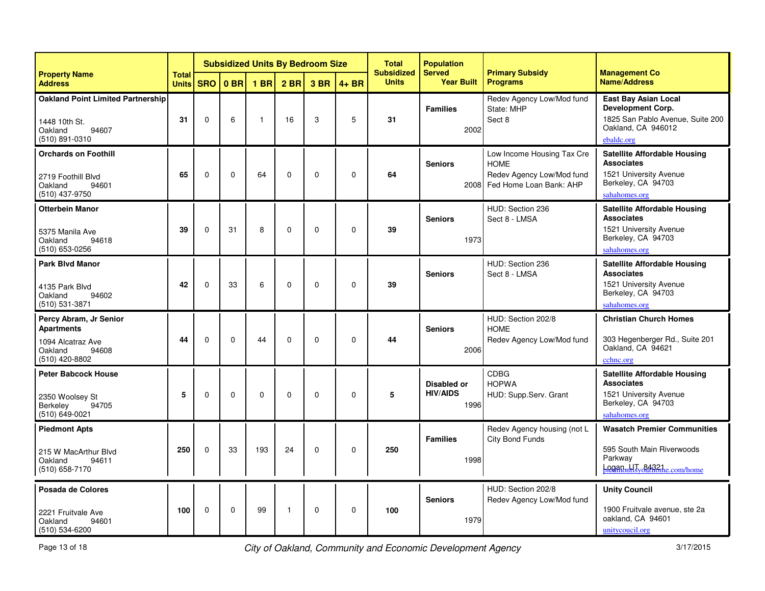|                                                                                                        |                              |             |          |              |                 | <b>Subsidized Units By Bedroom Size</b> |             | <b>Total</b><br><b>Subsidized</b> | <b>Population</b><br><b>Served</b>            | <b>Primary Subsidy</b>                                                                            | <b>Management Co</b>                                                                                                      |
|--------------------------------------------------------------------------------------------------------|------------------------------|-------------|----------|--------------|-----------------|-----------------------------------------|-------------|-----------------------------------|-----------------------------------------------|---------------------------------------------------------------------------------------------------|---------------------------------------------------------------------------------------------------------------------------|
| <b>Property Name</b><br><b>Address</b>                                                                 | <b>Total</b><br><b>Units</b> | <b>SRO</b>  | $0$ BR   | <b>1 BR</b>  | 2 <sub>BR</sub> | 3 BR                                    | $4 + BR$    | <b>Units</b>                      | <b>Year Built</b>                             | <b>Programs</b>                                                                                   | <b>Name/Address</b>                                                                                                       |
| <b>Oakland Point Limited Partnership</b><br>1448 10th St.<br>Oakland<br>94607<br>(510) 891-0310        | 31                           | $\Omega$    | 6        | $\mathbf{1}$ | 16              | 3                                       | 5           | 31                                | <b>Families</b><br>2002                       | Redev Agency Low/Mod fund<br>State: MHP<br>Sect 8                                                 | <b>East Bay Asian Local</b><br>Development Corp.<br>1825 San Pablo Avenue, Suite 200<br>Oakland, CA 946012<br>ebaldc.org  |
| <b>Orchards on Foothill</b><br>2719 Foothill Blvd<br>Oakland<br>94601<br>(510) 437-9750                | 65                           | $\Omega$    | $\Omega$ | 64           | $\Omega$        | $\Omega$                                | 0           | 64                                | <b>Seniors</b><br>2008                        | Low Income Housing Tax Cre<br><b>HOME</b><br>Redev Agency Low/Mod fund<br>Fed Home Loan Bank: AHP | <b>Satellite Affordable Housing</b><br><b>Associates</b><br>1521 University Avenue<br>Berkeley, CA 94703<br>sahahomes.org |
| <b>Otterbein Manor</b><br>5375 Manila Ave<br>Oakland<br>94618<br>(510) 653-0256                        | 39                           | $\Omega$    | 31       | 8            | $\Omega$        | $\Omega$                                | $\mathbf 0$ | 39                                | <b>Seniors</b><br>1973                        | HUD: Section 236<br>Sect 8 - LMSA                                                                 | <b>Satellite Affordable Housing</b><br><b>Associates</b><br>1521 University Avenue<br>Berkeley, CA 94703<br>sahahomes.org |
| <b>Park Blvd Manor</b><br>4135 Park Blvd<br>Oakland<br>94602<br>(510) 531-3871                         | 42                           | $\mathbf 0$ | 33       | 6            | $\mathbf 0$     | $\Omega$                                | $\mathbf 0$ | 39                                | <b>Seniors</b>                                | HUD: Section 236<br>Sect 8 - LMSA                                                                 | <b>Satellite Affordable Housing</b><br><b>Associates</b><br>1521 University Avenue<br>Berkeley, CA 94703<br>sahahomes.org |
| Percy Abram, Jr Senior<br><b>Apartments</b><br>1094 Alcatraz Ave<br>Oakland<br>94608<br>(510) 420-8802 | 44                           | $\Omega$    | $\Omega$ | 44           | $\Omega$        | $\Omega$                                | 0           | 44                                | <b>Seniors</b><br>2006                        | HUD: Section 202/8<br><b>HOME</b><br>Redev Agency Low/Mod fund                                    | <b>Christian Church Homes</b><br>303 Hegenberger Rd., Suite 201<br>Oakland, CA 94621<br>cchnc.org                         |
| <b>Peter Babcock House</b><br>2350 Woolsey St<br>Berkeley<br>94705<br>(510) 649-0021                   | 5                            | 0           | $\Omega$ | $\mathbf 0$  | $\mathbf 0$     | 0                                       | $\mathbf 0$ | 5                                 | <b>Disabled or</b><br><b>HIV/AIDS</b><br>1996 | <b>CDBG</b><br><b>HOPWA</b><br>HUD: Supp.Serv. Grant                                              | <b>Satellite Affordable Housing</b><br><b>Associates</b><br>1521 University Avenue<br>Berkeley, CA 94703<br>sahahomes.org |
| <b>Piedmont Apts</b><br>215 W MacArthur Blvd<br>94611<br>Oakland<br>(510) 658-7170                     | 250                          | $\Omega$    | 33       | 193          | 24              | $\Omega$                                | $\mathbf 0$ | 250                               | <b>Families</b><br>1998                       | Redev Agency housing (not L<br>City Bond Funds                                                    | <b>Wasatch Premier Communities</b><br>595 South Main Riverwoods<br>Parkway<br><b>Loganbillsv&amp;4321e.com/home</b>       |
| Posada de Colores<br>2221 Fruitvale Ave<br>Oakland<br>94601<br>$(510) 534 - 6200$                      | 100                          | $\Omega$    | 0        | 99           | -1              | 0                                       | $\mathbf 0$ | 100                               | <b>Seniors</b><br>1979                        | HUD: Section 202/8<br>Redev Agency Low/Mod fund                                                   | <b>Unity Council</b><br>1900 Fruitvale avenue, ste 2a<br>oakland, CA 94601<br>unitycoucil.org                             |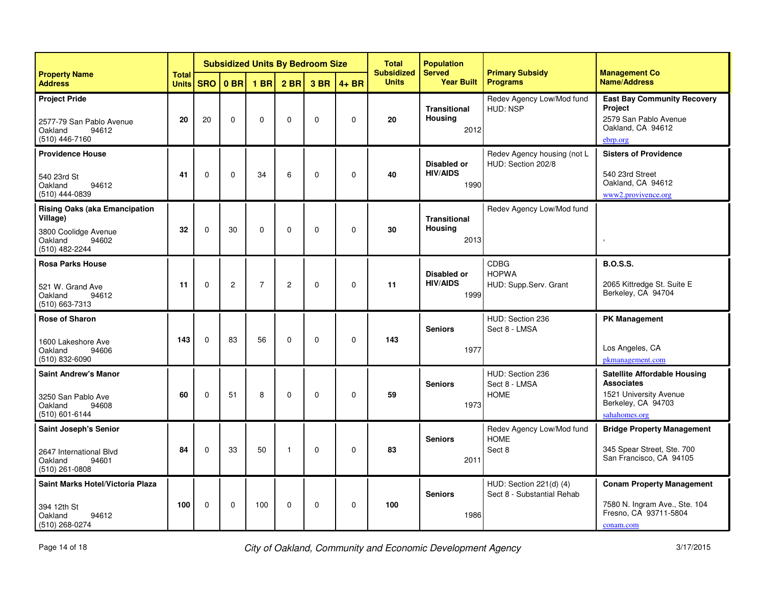|                                                                                                                |                              |             |                 |                |                 | <b>Subsidized Units By Bedroom Size</b> |              | <b>Total</b><br><b>Subsidized</b> | <b>Population</b><br><b>Served</b>            | <b>Primary Subsidy</b>                                | <b>Management Co</b>                                                                                                      |
|----------------------------------------------------------------------------------------------------------------|------------------------------|-------------|-----------------|----------------|-----------------|-----------------------------------------|--------------|-----------------------------------|-----------------------------------------------|-------------------------------------------------------|---------------------------------------------------------------------------------------------------------------------------|
| <b>Property Name</b><br><b>Address</b>                                                                         | <b>Total</b><br><b>Units</b> | <b>SRO</b>  | 0 <sub>BR</sub> | $1$ BR         | 2 <sub>BR</sub> | 3 BR                                    | $4 + BR$     | <b>Units</b>                      | <b>Year Built</b>                             | <b>Programs</b>                                       | <b>Name/Address</b>                                                                                                       |
| <b>Project Pride</b><br>2577-79 San Pablo Avenue<br>Oakland<br>94612<br>$(510)$ 446-7160                       | 20                           | 20          | $\Omega$        | 0              | $\mathbf 0$     | $\Omega$                                | $\mathbf{0}$ | 20                                | <b>Transitional</b><br><b>Housing</b><br>2012 | Redev Agency Low/Mod fund<br>HUD: NSP                 | <b>East Bay Community Recovery</b><br><b>Project</b><br>2579 San Pablo Avenue<br>Oakland, CA 94612<br>ebrp.org            |
| <b>Providence House</b><br>540 23rd St<br>94612<br>Oakland<br>(510) 444-0839                                   | 41                           | $\Omega$    | $\Omega$        | 34             | 6               | $\mathbf 0$                             | $\mathbf 0$  | 40                                | <b>Disabled or</b><br><b>HIV/AIDS</b><br>1990 | Redev Agency housing (not L<br>HUD: Section 202/8     | <b>Sisters of Providence</b><br>540 23rd Street<br>Oakland, CA 94612<br>www2.provivence.org                               |
| <b>Rising Oaks (aka Emancipation</b><br>Village)<br>3800 Coolidge Avenue<br>Oakland<br>94602<br>(510) 482-2244 | 32                           | $\Omega$    | 30              | 0              | 0               | $\mathbf 0$                             | $\mathbf 0$  | 30                                | <b>Transitional</b><br><b>Housing</b><br>2013 | Redev Agency Low/Mod fund                             | $\overline{\phantom{a}}$                                                                                                  |
| <b>Rosa Parks House</b><br>521 W. Grand Ave<br>Oakland<br>94612<br>$(510) 663 - 7313$                          | 11                           | $\Omega$    | $\overline{2}$  | $\overline{7}$ | $\overline{2}$  | $\mathbf 0$                             | $\Omega$     | 11                                | Disabled or<br><b>HIV/AIDS</b><br>1999        | <b>CDBG</b><br><b>HOPWA</b><br>HUD: Supp.Serv. Grant  | <b>B.O.S.S.</b><br>2065 Kittredge St. Suite E<br>Berkeley, CA 94704                                                       |
| <b>Rose of Sharon</b><br>1600 Lakeshore Ave<br>Oakland<br>94606<br>$(510) 832 - 6090$                          | 143                          | $\Omega$    | 83              | 56             | 0               | $\mathbf 0$                             | $\mathbf 0$  | 143                               | <b>Seniors</b><br>1977                        | HUD: Section 236<br>Sect 8 - LMSA                     | <b>PK Management</b><br>Los Angeles, CA<br>pkmanagement.com                                                               |
| <b>Saint Andrew's Manor</b><br>3250 San Pablo Ave<br>Oakland<br>94608<br>(510) 601-6144                        | 60                           | $\Omega$    | 51              | 8              | $\Omega$        | $\mathbf 0$                             | $\Omega$     | 59                                | <b>Seniors</b><br>1973                        | HUD: Section 236<br>Sect 8 - LMSA<br><b>HOME</b>      | <b>Satellite Affordable Housing</b><br><b>Associates</b><br>1521 University Avenue<br>Berkeley, CA 94703<br>sahahomes.org |
| <b>Saint Joseph's Senior</b><br>2647 International Blvd<br>94601<br>Oakland<br>$(510)$ 261-0808                | 84                           | $\Omega$    | 33              | 50             | -1              | $\Omega$                                | $\Omega$     | 83                                | <b>Seniors</b><br>2011                        | Redev Agency Low/Mod fund<br><b>HOME</b><br>Sect 8    | <b>Bridge Property Management</b><br>345 Spear Street, Ste. 700<br>San Francisco, CA 94105                                |
| Saint Marks Hotel/Victoria Plaza<br>394 12th St<br>Oakland<br>94612<br>$(510)$ 268-0274                        | 100                          | $\mathbf 0$ | $\mathbf 0$     | 100            | $\mathbf 0$     | $\mathbf 0$                             | $\mathbf 0$  | 100                               | <b>Seniors</b><br>1986                        | HUD: Section 221(d) (4)<br>Sect 8 - Substantial Rehab | <b>Conam Property Management</b><br>7580 N. Ingram Ave., Ste. 104<br>Fresno, CA 93711-5804<br>conam.com                   |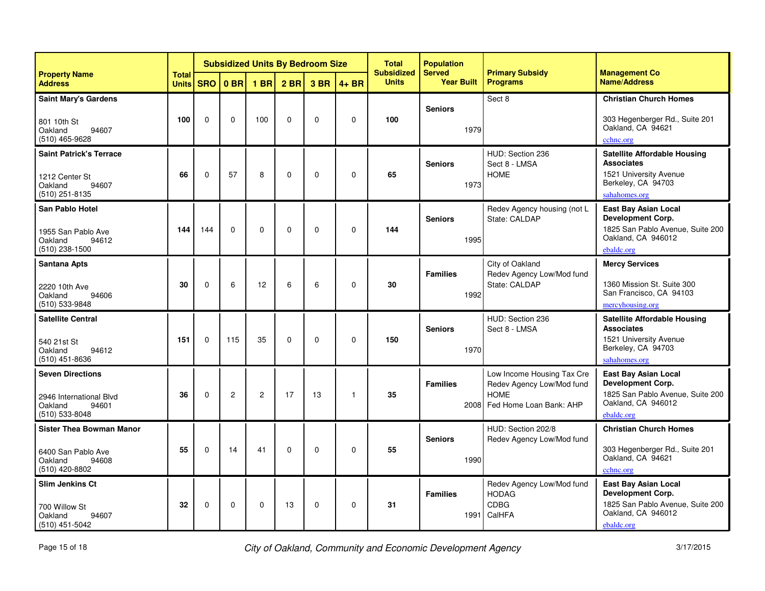|                                                                                             |                              |             |                 |              |             | <b>Subsidized Units By Bedroom Size</b> |             | <b>Total</b><br><b>Subsidized</b> | <b>Population</b><br><b>Served</b> | <b>Primary Subsidy</b><br><b>Programs</b>                                                         | <b>Management Co</b>                                                                                                            |
|---------------------------------------------------------------------------------------------|------------------------------|-------------|-----------------|--------------|-------------|-----------------------------------------|-------------|-----------------------------------|------------------------------------|---------------------------------------------------------------------------------------------------|---------------------------------------------------------------------------------------------------------------------------------|
| <b>Property Name</b><br><b>Address</b>                                                      | <b>Total</b><br><b>Units</b> | <b>SRO</b>  | 0 <sub>BR</sub> | <b>1 BR</b>  | $2$ BR      | 3 BR                                    | $4 + BR$    | <b>Units</b>                      | <b>Year Built</b>                  |                                                                                                   | <b>Name/Address</b>                                                                                                             |
| <b>Saint Mary's Gardens</b><br>801 10th St<br>94607<br>Oakland<br>(510) 465-9628            | 100                          | $\Omega$    | $\Omega$        | 100          | $\Omega$    | $\Omega$                                | $\mathbf 0$ | 100                               | <b>Seniors</b><br>1979             | Sect 8                                                                                            | <b>Christian Church Homes</b><br>303 Hegenberger Rd., Suite 201<br>Oakland, CA 94621<br>cchnc.org                               |
| <b>Saint Patrick's Terrace</b><br>1212 Center St<br>Oakland<br>94607<br>$(510)$ 251-8135    | 66                           | $\Omega$    | 57              | 8            | $\mathbf 0$ | $\mathbf 0$                             | 0           | 65                                | <b>Seniors</b><br>1973             | HUD: Section 236<br>Sect 8 - LMSA<br><b>HOME</b>                                                  | <b>Satellite Affordable Housing</b><br><b>Associates</b><br>1521 University Avenue<br>Berkeley, CA 94703<br>sahahomes.org       |
| <b>San Pablo Hotel</b><br>1955 San Pablo Ave<br>Oakland<br>94612<br>$(510)$ 238-1500        | 144                          | 144         | $\mathbf 0$     | $\mathbf 0$  | $\mathbf 0$ | $\mathbf 0$                             | $\mathbf 0$ | 144                               | <b>Seniors</b><br>1995             | Redev Agency housing (not L<br>State: CALDAP                                                      | <b>East Bay Asian Local</b><br><b>Development Corp.</b><br>1825 San Pablo Avenue, Suite 200<br>Oakland, CA 946012<br>ebaldc.org |
| <b>Santana Apts</b><br>2220 10th Ave<br>94606<br>Oakland<br>(510) 533-9848                  | 30                           | $\Omega$    | 6               | 12           | 6           | 6                                       | 0           | 30                                | <b>Families</b><br>1992            | City of Oakland<br>Redev Agency Low/Mod fund<br>State: CALDAP                                     | <b>Mercy Services</b><br>1360 Mission St. Suite 300<br>San Francisco, CA 94103<br>mercyhousing.org                              |
| <b>Satellite Central</b><br>540 21st St<br>Oakland<br>94612<br>$(510)$ 451-8636             | 151                          | $\Omega$    | 115             | 35           | $\Omega$    | $\Omega$                                | $\mathbf 0$ | 150                               | <b>Seniors</b><br>1970             | HUD: Section 236<br>Sect 8 - LMSA                                                                 | <b>Satellite Affordable Housing</b><br><b>Associates</b><br>1521 University Avenue<br>Berkeley, CA 94703<br>sahahomes.org       |
| <b>Seven Directions</b><br>2946 International Blvd<br>Oakland<br>94601<br>(510) 533-8048    | 36                           | $\Omega$    | $\overline{c}$  | $\mathbf{2}$ | 17          | 13                                      | 1           | 35                                | <b>Families</b><br>2008            | Low Income Housing Tax Cre<br>Redev Agency Low/Mod fund<br><b>HOMF</b><br>Fed Home Loan Bank: AHP | <b>East Bay Asian Local</b><br><b>Development Corp.</b><br>1825 San Pablo Avenue, Suite 200<br>Oakland, CA 946012<br>ebaldc.org |
| <b>Sister Thea Bowman Manor</b><br>6400 San Pablo Ave<br>94608<br>Oakland<br>(510) 420-8802 | 55                           | $\Omega$    | 14              | 41           | $\mathbf 0$ | $\Omega$                                | $\Omega$    | 55                                | <b>Seniors</b><br>1990             | HUD: Section 202/8<br>Redev Agency Low/Mod fund                                                   | <b>Christian Church Homes</b><br>303 Hegenberger Rd., Suite 201<br>Oakland, CA 94621<br>cchnc.org                               |
| <b>Slim Jenkins Ct</b><br>700 Willow St<br>Oakland<br>94607<br>$(510)$ 451-5042             | 32                           | $\mathbf 0$ | $\mathbf 0$     | $\mathbf 0$  | 13          | $\mathbf 0$                             | $\mathbf 0$ | 31                                | <b>Families</b><br>1991            | Redev Agency Low/Mod fund<br><b>HODAG</b><br><b>CDBG</b><br>CalHFA                                | <b>East Bay Asian Local</b><br><b>Development Corp.</b><br>1825 San Pablo Avenue, Suite 200<br>Oakland, CA 946012<br>ebaldc.org |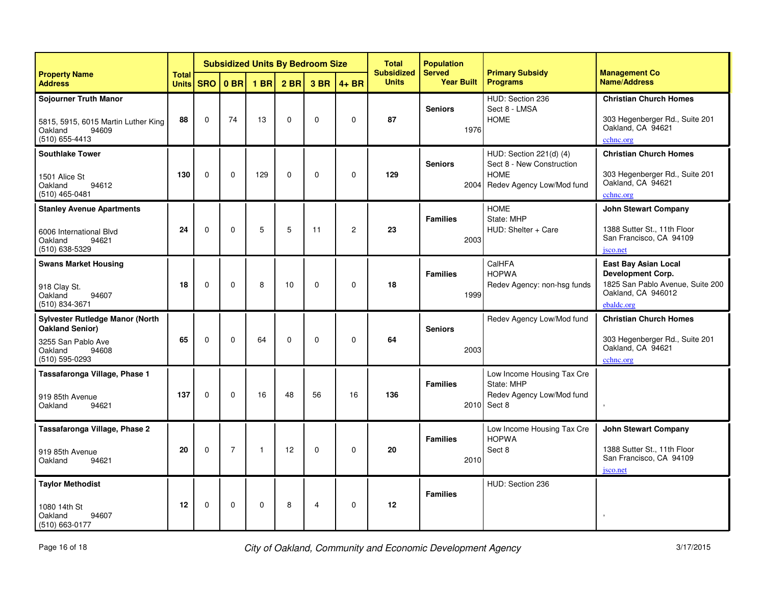|                                                                                                                              |                              |             |                |              |                 | <b>Subsidized Units By Bedroom Size</b> |                | <b>Total</b><br><b>Subsidized</b> | <b>Population</b><br><b>Served</b> | <b>Primary Subsidy</b><br><b>Programs</b>                                                        | <b>Management Co</b>                                                                                              |
|------------------------------------------------------------------------------------------------------------------------------|------------------------------|-------------|----------------|--------------|-----------------|-----------------------------------------|----------------|-----------------------------------|------------------------------------|--------------------------------------------------------------------------------------------------|-------------------------------------------------------------------------------------------------------------------|
| <b>Property Name</b><br><b>Address</b>                                                                                       | <b>Total</b><br><b>Units</b> | <b>SRO</b>  | $0$ BR         | $1$ BR       | 2 <sub>BR</sub> | 3 BR                                    | $4 + BR$       | <b>Units</b>                      | <b>Year Built</b>                  |                                                                                                  | <b>Name/Address</b>                                                                                               |
| <b>Sojourner Truth Manor</b><br>5815, 5915, 6015 Martin Luther King<br>Oakland<br>94609<br>$(510)$ 655-4413                  | 88                           | $\Omega$    | 74             | 13           | $\Omega$        | $\Omega$                                | $\mathbf 0$    | 87                                | <b>Seniors</b><br>1976             | HUD: Section 236<br>Sect 8 - LMSA<br><b>HOME</b>                                                 | <b>Christian Church Homes</b><br>303 Hegenberger Rd., Suite 201<br>Oakland, CA 94621<br>cchnc.org                 |
| <b>Southlake Tower</b><br>1501 Alice St<br>Oakland<br>94612<br>$(510)$ 465-0481                                              | 130                          | $\Omega$    | $\Omega$       | 129          | $\Omega$        | $\Omega$                                | $\Omega$       | 129                               | <b>Seniors</b><br>2004             | HUD: Section 221(d) (4)<br>Sect 8 - New Construction<br><b>HOME</b><br>Redev Agency Low/Mod fund | <b>Christian Church Homes</b><br>303 Hegenberger Rd., Suite 201<br>Oakland, CA 94621<br>cchnc.org                 |
| <b>Stanley Avenue Apartments</b><br>6006 International Blvd<br>Oakland<br>94621<br>(510) 638-5329                            | 24                           | $\mathbf 0$ | $\mathbf 0$    | 5            | 5               | 11                                      | $\overline{c}$ | 23                                | <b>Families</b><br>2003            | <b>HOME</b><br>State: MHP<br>HUD: Shelter + Care                                                 | <b>John Stewart Company</b><br>1388 Sutter St., 11th Floor<br>San Francisco, CA 94109<br>jsco.net                 |
| <b>Swans Market Housing</b><br>918 Clay St.<br>Oakland<br>94607<br>(510) 834-3671                                            | 18                           | $\Omega$    | $\Omega$       | 8            | 10              | $\Omega$                                | $\mathbf 0$    | 18                                | <b>Families</b><br>1999            | CalHFA<br><b>HOPWA</b><br>Redev Agency: non-hsg funds                                            | East Bay Asian Local<br>Development Corp.<br>1825 San Pablo Avenue, Suite 200<br>Oakland, CA 946012<br>ebaldc.org |
| <b>Sylvester Rutledge Manor (North</b><br><b>Oakland Senior)</b><br>3255 San Pablo Ave<br>Oakland<br>94608<br>(510) 595-0293 | 65                           | $\Omega$    | $\Omega$       | 64           | $\Omega$        | $\Omega$                                | $\mathbf 0$    | 64                                | <b>Seniors</b><br>2003             | Redev Agency Low/Mod fund                                                                        | <b>Christian Church Homes</b><br>303 Hegenberger Rd., Suite 201<br>Oakland, CA 94621<br>cchnc.org                 |
| Tassafaronga Village, Phase 1<br>919 85th Avenue<br>Oakland<br>94621                                                         | 137                          | 0           | $\Omega$       | 16           | 48              | 56                                      | 16             | 136                               | <b>Families</b>                    | Low Income Housing Tax Cre<br>State: MHP<br>Redev Agency Low/Mod fund<br>2010 Sect 8             |                                                                                                                   |
| Tassafaronga Village, Phase 2<br>919 85th Avenue<br>Oakland<br>94621                                                         | 20                           | $\mathbf 0$ | $\overline{7}$ | $\mathbf{1}$ | 12              | 0                                       | $\mathbf 0$    | 20                                | <b>Families</b><br>2010            | Low Income Housing Tax Cre<br><b>HOPWA</b><br>Sect 8                                             | <b>John Stewart Company</b><br>1388 Sutter St., 11th Floor<br>San Francisco, CA 94109<br>jsco.net                 |
| <b>Taylor Methodist</b><br>1080 14th St<br>Oakland<br>94607<br>(510) 663-0177                                                | 12                           | 0           | 0              | $\mathbf 0$  | 8               | 4                                       | $\mathbf 0$    | 12                                | <b>Families</b>                    | HUD: Section 236                                                                                 | $\,$                                                                                                              |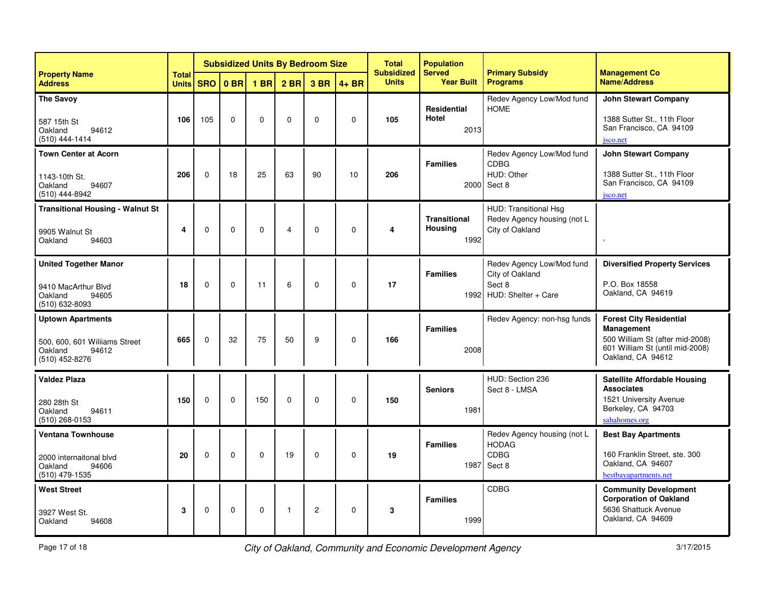|                                                                                                 |                              |            |                 |             |                 | <b>Subsidized Units By Bedroom Size</b> |             | <b>Total</b><br><b>Subsidized</b> | <b>Population</b><br><b>Served</b>            | <b>Primary Subsidy</b>                                                        | <b>Management Co</b>                                                                                                                    |
|-------------------------------------------------------------------------------------------------|------------------------------|------------|-----------------|-------------|-----------------|-----------------------------------------|-------------|-----------------------------------|-----------------------------------------------|-------------------------------------------------------------------------------|-----------------------------------------------------------------------------------------------------------------------------------------|
| <b>Property Name</b><br><b>Address</b>                                                          | <b>Total</b><br><b>Units</b> | <b>SRO</b> | 0 <sub>BR</sub> | $1$ BR      | 2 <sub>BR</sub> | 3 BR                                    | $4 + BR$    | <b>Units</b>                      | <b>Year Built</b>                             | <b>Programs</b>                                                               | <b>Name/Address</b>                                                                                                                     |
| <b>The Savoy</b><br>587 15th St<br>Oakland<br>94612<br>(510) 444-1414                           | 106                          | 105        | $\Omega$        | $\mathbf 0$ | $\mathbf 0$     | $\Omega$                                | $\mathbf 0$ | 105                               | <b>Residential</b><br>Hotel<br>2013           | Redev Agency Low/Mod fund<br><b>HOME</b>                                      | <b>John Stewart Company</b><br>1388 Sutter St., 11th Floor<br>San Francisco, CA 94109<br>jsco.net                                       |
| <b>Town Center at Acorn</b><br>1143-10th St.<br>Oakland<br>94607<br>(510) 444-8942              | 206                          | 0          | 18              | 25          | 63              | 90                                      | 10          | 206                               | <b>Families</b><br>2000                       | Redev Agency Low/Mod fund<br><b>CDBG</b><br>HUD: Other<br>Sect 8              | <b>John Stewart Company</b><br>1388 Sutter St., 11th Floor<br>San Francisco, CA 94109<br>jsco.net                                       |
| <b>Transitional Housing - Walnut St</b><br>9905 Walnut St<br>Oakland<br>94603                   | 4                            | $\Omega$   | $\Omega$        | $\Omega$    | 4               | $\Omega$                                | $\mathbf 0$ | 4                                 | <b>Transitional</b><br><b>Housing</b><br>1992 | HUD: Transitional Hsg<br>Redev Agency housing (not L<br>City of Oakland       |                                                                                                                                         |
| <b>United Together Manor</b><br>9410 MacArthur Blvd<br>Oakland<br>94605<br>(510) 632-8093       | 18                           | $\Omega$   | $\Omega$        | 11          | 6               | $\Omega$                                | $\Omega$    | 17                                | <b>Families</b><br>1992                       | Redev Agency Low/Mod fund<br>City of Oakland<br>Sect 8<br>HUD: Shelter + Care | <b>Diversified Property Services</b><br>P.O. Box 18558<br>Oakland, CA 94619                                                             |
| <b>Uptown Apartments</b><br>500, 600, 601 Williams Street<br>Oakland<br>94612<br>(510) 452-8276 | 665                          | $\Omega$   | 32              | 75          | 50              | 9                                       | $\mathbf 0$ | 166                               | <b>Families</b><br>2008                       | Redev Agency: non-hsg funds                                                   | <b>Forest City Residential</b><br>Management<br>500 William St (after mid-2008)<br>601 William St (until mid-2008)<br>Oakland, CA 94612 |
| <b>Valdez Plaza</b><br>280 28th St<br>Oakland<br>94611<br>(510) 268-0153                        | 150                          | 0          | $\mathbf 0$     | 150         | 0               | $\mathbf 0$                             | $\mathbf 0$ | 150                               | <b>Seniors</b><br>1981                        | HUD: Section 236<br>Sect 8 - LMSA                                             | <b>Satellite Affordable Housing</b><br><b>Associates</b><br>1521 University Avenue<br>Berkeley, CA 94703<br>sahahomes.org               |
| <b>Ventana Townhouse</b><br>2000 internaitonal blvd<br>94606<br>Oakland<br>(510) 479-1535       | 20                           | 0          | 0               | $\mathbf 0$ | 19              | 0                                       | $\mathbf 0$ | 19                                | <b>Families</b><br>1987                       | Redev Agency housing (not L<br><b>HODAG</b><br><b>CDBG</b><br>Sect 8          | <b>Best Bay Apartments</b><br>160 Franklin Street, ste. 300<br>Oakland, CA 94607<br>bestbayapartments.net                               |
| <b>West Street</b><br>3927 West St.<br>Oakland<br>94608                                         | 3                            | $\Omega$   | $\Omega$        | 0           | $\mathbf{1}$    | $\overline{c}$                          | 0           | 3                                 | <b>Families</b><br>1999                       | <b>CDBG</b>                                                                   | <b>Community Development</b><br><b>Corporation of Oakland</b><br>5636 Shattuck Avenue<br>Oakland, CA 94609                              |